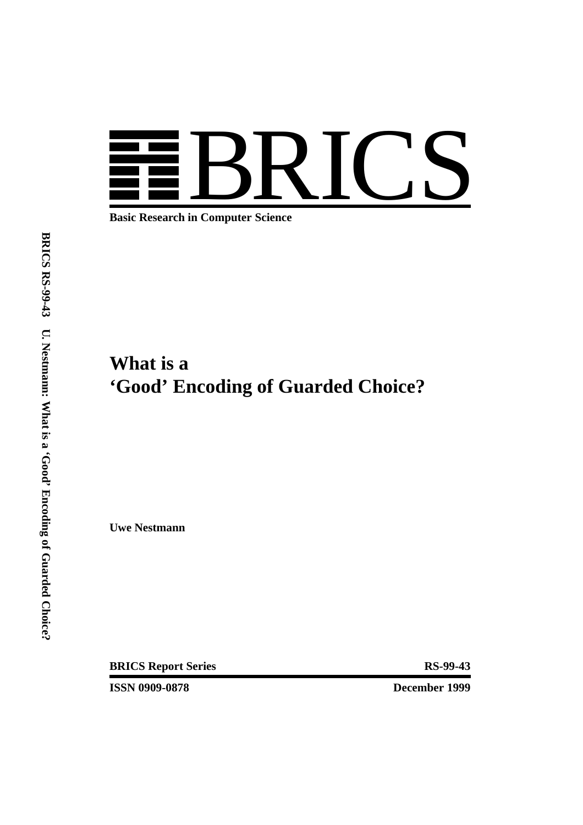

**Basic Research in Computer Science**

# **What is a 'Good' Encoding of Guarded Choice?**

**Uwe Nestmann**

**BRICS Report Series RS-99-43** 

**ISSN 0909-0878 December 1999**

**BRICS RS-99-43 U. Nestmann: What is a 'Good' Encoding of Guarded Choice?**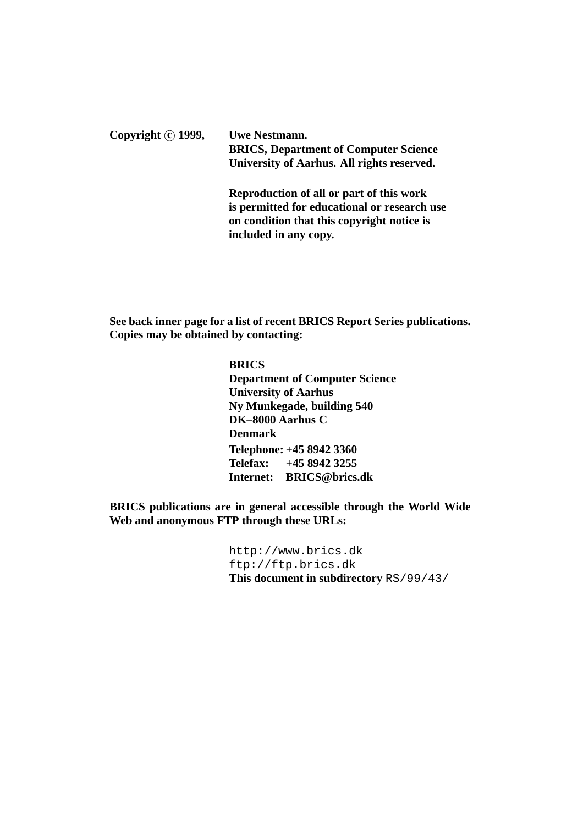Copyright  $\hat{c}$  **1999**, Uwe Nestmann. **BRICS, Department of Computer Science University of Aarhus. All rights reserved. Reproduction of all or part of this work**

**is permitted for educational or research use on condition that this copyright notice is included in any copy.**

**See back inner page for a list of recent BRICS Report Series publications. Copies may be obtained by contacting:**

> **BRICS Department of Computer Science University of Aarhus Ny Munkegade, building 540 DK–8000 Aarhus C Denmark Telephone: +45 8942 3360 Telefax: +45 8942 3255 Internet: BRICS@brics.dk**

**BRICS publications are in general accessible through the World Wide Web and anonymous FTP through these URLs:**

> http://www.brics.dk ftp://ftp.brics.dk **This document in subdirectory** RS/99/43/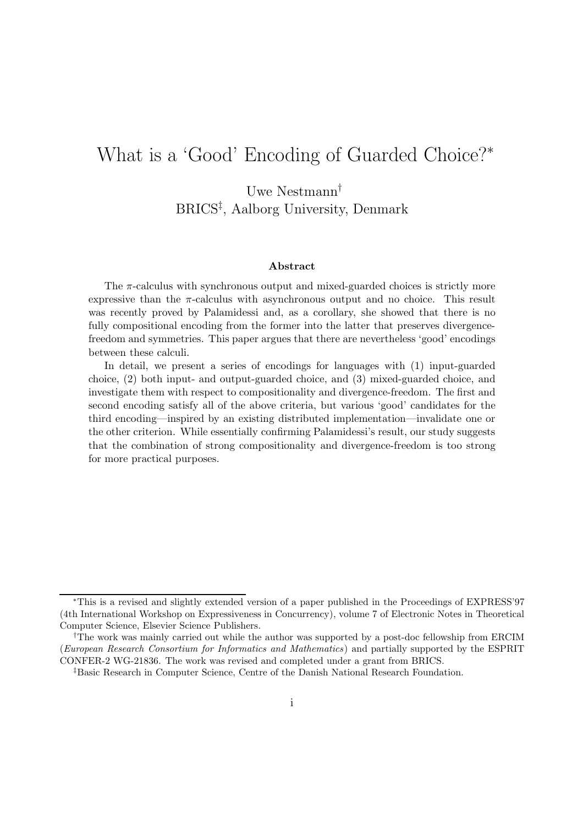# What is a 'Good' Encoding of Guarded Choice?<sup>∗</sup>

Uwe Nestmann† BRICS‡ , Aalborg University, Denmark

### **Abstract**

The  $\pi$ -calculus with synchronous output and mixed-guarded choices is strictly more expressive than the  $\pi$ -calculus with asynchronous output and no choice. This result was recently proved by Palamidessi and, as a corollary, she showed that there is no fully compositional encoding from the former into the latter that preserves divergencefreedom and symmetries. This paper argues that there are nevertheless 'good' encodings between these calculi.

In detail, we present a series of encodings for languages with (1) input-guarded choice, (2) both input- and output-guarded choice, and (3) mixed-guarded choice, and investigate them with respect to compositionality and divergence-freedom. The first and second encoding satisfy all of the above criteria, but various 'good' candidates for the third encoding—inspired by an existing distributed implementation—invalidate one or the other criterion. While essentially confirming Palamidessi's result, our study suggests that the combination of strong compositionality and divergence-freedom is too strong for more practical purposes.

<sup>∗</sup>This is a revised and slightly extended version of a paper published in the Proceedings of EXPRESS'97 (4th International Workshop on Expressiveness in Concurrency), volume 7 of Electronic Notes in Theoretical Computer Science, Elsevier Science Publishers.

<sup>†</sup>The work was mainly carried out while the author was supported by a post-doc fellowship from ERCIM (*European Research Consortium for Informatics and Mathematics*) and partially supported by the ESPRIT CONFER-2 WG-21836. The work was revised and completed under a grant from BRICS.

<sup>‡</sup>Basic Research in Computer Science, Centre of the Danish National Research Foundation.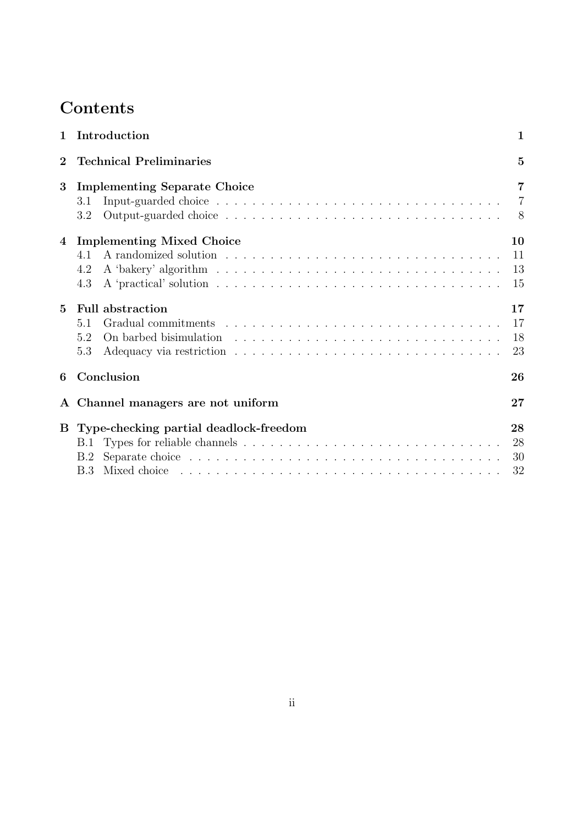# **Contents**

| $\mathbf{1}$   | Introduction                                           | $\mathbf{1}$         |  |  |  |
|----------------|--------------------------------------------------------|----------------------|--|--|--|
| $\overline{2}$ | <b>Technical Preliminaries</b><br>$\overline{5}$       |                      |  |  |  |
| 3              | <b>Implementing Separate Choice</b><br>3.1<br>3.2      | $\overline{7}$<br>8  |  |  |  |
| 4              | <b>Implementing Mixed Choice</b><br>4.1<br>4.2<br>4.3  | 10<br>11<br>13<br>15 |  |  |  |
| $5^{\circ}$    | <b>Full abstraction</b><br>5.1<br>5.2<br>5.3           | 17<br>17<br>18<br>23 |  |  |  |
| 6              | Conclusion<br>26                                       |                      |  |  |  |
|                | A Channel managers are not uniform                     | 27                   |  |  |  |
|                | B Type-checking partial deadlock-freedom<br>B.1<br>B.2 | 28<br>28<br>30<br>32 |  |  |  |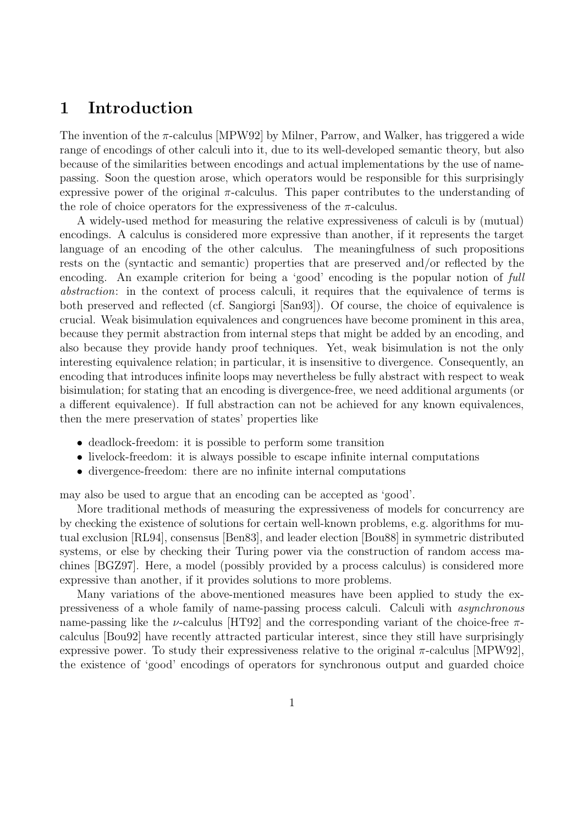## **1 Introduction**

The invention of the  $\pi$ -calculus [MPW92] by Milner, Parrow, and Walker, has triggered a wide range of encodings of other calculi into it, due to its well-developed semantic theory, but also because of the similarities between encodings and actual implementations by the use of namepassing. Soon the question arose, which operators would be responsible for this surprisingly expressive power of the original  $\pi$ -calculus. This paper contributes to the understanding of the role of choice operators for the expressiveness of the  $\pi$ -calculus.

A widely-used method for measuring the relative expressiveness of calculi is by (mutual) encodings. A calculus is considered more expressive than another, if it represents the target language of an encoding of the other calculus. The meaningfulness of such propositions rests on the (syntactic and semantic) properties that are preserved and/or reflected by the encoding. An example criterion for being a 'good' encoding is the popular notion of full abstraction: in the context of process calculi, it requires that the equivalence of terms is both preserved and reflected (cf. Sangiorgi [San93]). Of course, the choice of equivalence is crucial. Weak bisimulation equivalences and congruences have become prominent in this area, because they permit abstraction from internal steps that might be added by an encoding, and also because they provide handy proof techniques. Yet, weak bisimulation is not the only interesting equivalence relation; in particular, it is insensitive to divergence. Consequently, an encoding that introduces infinite loops may nevertheless be fully abstract with respect to weak bisimulation; for stating that an encoding is divergence-free, we need additional arguments (or a different equivalence). If full abstraction can not be achieved for any known equivalences, then the mere preservation of states' properties like

- deadlock-freedom: it is possible to perform some transition
- livelock-freedom: it is always possible to escape infinite internal computations
- divergence-freedom: there are no infinite internal computations

may also be used to argue that an encoding can be accepted as 'good'.

More traditional methods of measuring the expressiveness of models for concurrency are by checking the existence of solutions for certain well-known problems, e.g. algorithms for mutual exclusion [RL94], consensus [Ben83], and leader election [Bou88] in symmetric distributed systems, or else by checking their Turing power via the construction of random access machines [BGZ97]. Here, a model (possibly provided by a process calculus) is considered more expressive than another, if it provides solutions to more problems.

Many variations of the above-mentioned measures have been applied to study the expressiveness of a whole family of name-passing process calculi. Calculi with asynchronous name-passing like the *v*-calculus [HT92] and the corresponding variant of the choice-free  $\pi$ calculus [Bou92] have recently attracted particular interest, since they still have surprisingly expressive power. To study their expressiveness relative to the original  $\pi$ -calculus [MPW92], the existence of 'good' encodings of operators for synchronous output and guarded choice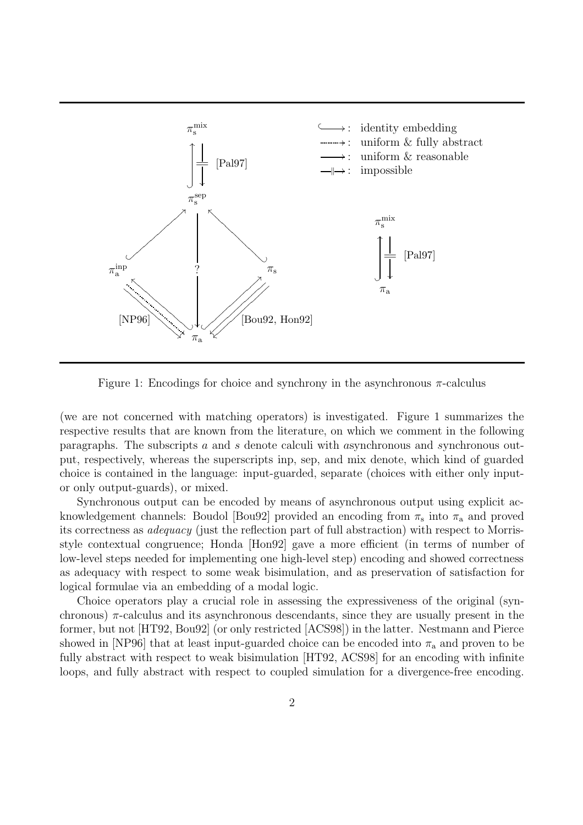

Figure 1: Encodings for choice and synchrony in the asynchronous  $\pi$ -calculus

(we are not concerned with matching operators) is investigated. Figure 1 summarizes the respective results that are known from the literature, on which we comment in the following paragraphs. The subscripts a and s denote calculi with asynchronous and synchronous output, respectively, whereas the superscripts inp, sep, and mix denote, which kind of guarded choice is contained in the language: input-guarded, separate (choices with either only inputor only output-guards), or mixed.

Synchronous output can be encoded by means of asynchronous output using explicit acknowledgement channels: Boudol [Bou92] provided an encoding from  $\pi_s$  into  $\pi_a$  and proved its correctness as adequacy (just the reflection part of full abstraction) with respect to Morrisstyle contextual congruence; Honda [Hon92] gave a more efficient (in terms of number of low-level steps needed for implementing one high-level step) encoding and showed correctness as adequacy with respect to some weak bisimulation, and as preservation of satisfaction for logical formulae via an embedding of a modal logic.

Choice operators play a crucial role in assessing the expressiveness of the original (synchronous)  $\pi$ -calculus and its asynchronous descendants, since they are usually present in the former, but not [HT92, Bou92] (or only restricted [ACS98]) in the latter. Nestmann and Pierce showed in [NP96] that at least input-guarded choice can be encoded into  $\pi_a$  and proven to be fully abstract with respect to weak bisimulation [HT92, ACS98] for an encoding with infinite loops, and fully abstract with respect to coupled simulation for a divergence-free encoding.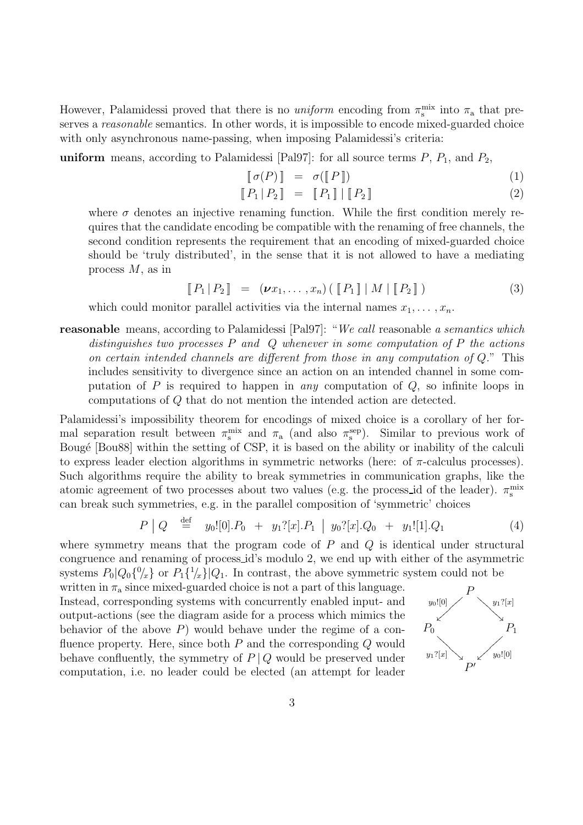However, Palamidessi proved that there is no uniform encoding from  $\pi_s^{\text{mix}}$  into  $\pi_a$  that preserves a reasonable semantics. In other words, it is impossible to encode mixed-guarded choice with only asynchronous name-passing, when imposing Palamidessi's criteria:

**uniform** means, according to Palamidessi [Pal97]: for all source terms  $P$ ,  $P_1$ , and  $P_2$ ,

$$
\llbracket \sigma(P) \rrbracket = \sigma(\llbracket P \rrbracket) \tag{1}
$$

$$
\llbracket P_1 | P_2 \rrbracket = \llbracket P_1 \rrbracket | \llbracket P_2 \rrbracket \tag{2}
$$

where  $\sigma$  denotes an injective renaming function. While the first condition merely requires that the candidate encoding be compatible with the renaming of free channels, the second condition represents the requirement that an encoding of mixed-guarded choice should be 'truly distributed', in the sense that it is not allowed to have a mediating process M, as in

$$
\llbracket P_1 | P_2 \rrbracket = (\nu x_1, \dots, x_n) \left( \llbracket P_1 \rrbracket | M | \llbracket P_2 \rrbracket \right) \tag{3}
$$

which could monitor parallel activities via the internal names  $x_1, \ldots, x_n$ .

**reasonable** means, according to Palamidessi [Pal97]: "We call reasonable a semantics which distinguishes two processes  $P$  and  $Q$  whenever in some computation of  $P$  the actions on certain intended channels are different from those in any computation of Q." This includes sensitivity to divergence since an action on an intended channel in some computation of  $P$  is required to happen in *any* computation of  $Q$ , so infinite loops in computations of Q that do not mention the intended action are detected.

Palamidessi's impossibility theorem for encodings of mixed choice is a corollary of her formal separation result between  $\pi_s^{\text{mix}}$  and  $\pi_a$  (and also  $\pi_s^{\text{sep}}$ ). Similar to previous work of Bougé [Bou88] within the setting of CSP, it is based on the ability or inability of the calculi to express leader election algorithms in symmetric networks (here: of  $\pi$ -calculus processes). Such algorithms require the ability to break symmetries in communication graphs, like the atomic agreement of two processes about two values (e.g. the process id of the leader).  $\pi_{\rm s}^{\rm mix}$ can break such symmetries, e.g. in the parallel composition of 'symmetric' choices

$$
P \mid Q \stackrel{\text{def}}{=} y_0![0].P_0 + y_1![x].P_1 \mid y_0![x].Q_0 + y_1![1].Q_1 \tag{4}
$$

where symmetry means that the program code of  $P$  and  $Q$  is identical under structural congruence and renaming of process id's modulo 2, we end up with either of the asymmetric systems  $P_0|Q_0\{^0\}_x$  or  $P_1\{^1\}_x$  |  $Q_1$ . In contrast, the above symmetric system could not be

written in  $\pi_a$  since mixed-guarded choice is not a part of this language. Instead, corresponding systems with concurrently enabled input- and output-actions (see the diagram aside for a process which mimics the behavior of the above  $P$ ) would behave under the regime of a confluence property. Here, since both  $P$  and the corresponding  $Q$  would behave confluently, the symmetry of  $P | Q$  would be preserved under computation, i.e. no leader could be elected (an attempt for leader

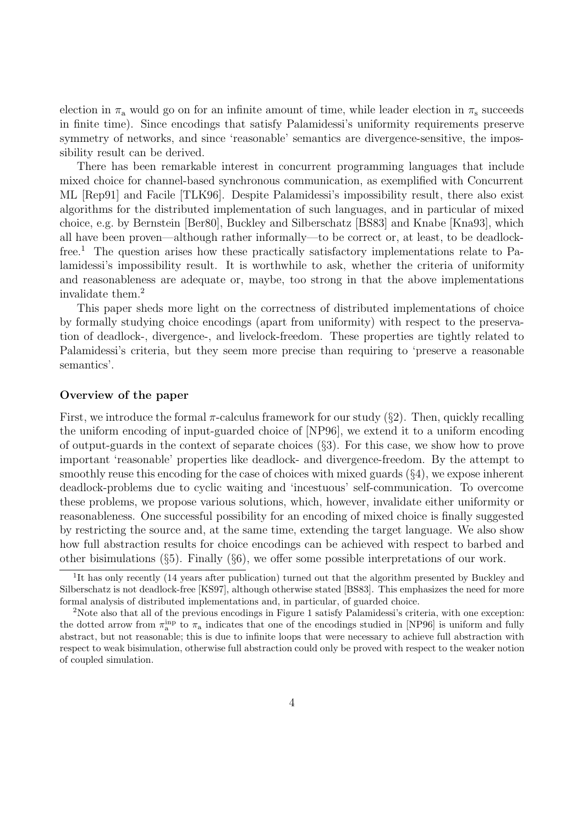election in  $\pi_a$  would go on for an infinite amount of time, while leader election in  $\pi_s$  succeeds in finite time). Since encodings that satisfy Palamidessi's uniformity requirements preserve symmetry of networks, and since 'reasonable' semantics are divergence-sensitive, the impossibility result can be derived.

There has been remarkable interest in concurrent programming languages that include mixed choice for channel-based synchronous communication, as exemplified with Concurrent ML [Rep91] and Facile [TLK96]. Despite Palamidessi's impossibility result, there also exist algorithms for the distributed implementation of such languages, and in particular of mixed choice, e.g. by Bernstein [Ber80], Buckley and Silberschatz [BS83] and Knabe [Kna93], which all have been proven—although rather informally—to be correct or, at least, to be deadlockfree.<sup>1</sup> The question arises how these practically satisfactory implementations relate to Palamidessi's impossibility result. It is worthwhile to ask, whether the criteria of uniformity and reasonableness are adequate or, maybe, too strong in that the above implementations invalidate them.<sup>2</sup>

This paper sheds more light on the correctness of distributed implementations of choice by formally studying choice encodings (apart from uniformity) with respect to the preservation of deadlock-, divergence-, and livelock-freedom. These properties are tightly related to Palamidessi's criteria, but they seem more precise than requiring to 'preserve a reasonable semantics'.

### **Overview of the paper**

First, we introduce the formal  $\pi$ -calculus framework for our study (§2). Then, quickly recalling the uniform encoding of input-guarded choice of [NP96], we extend it to a uniform encoding of output-guards in the context of separate choices (§3). For this case, we show how to prove important 'reasonable' properties like deadlock- and divergence-freedom. By the attempt to smoothly reuse this encoding for the case of choices with mixed guards  $(\S 4)$ , we expose inherent deadlock-problems due to cyclic waiting and 'incestuous' self-communication. To overcome these problems, we propose various solutions, which, however, invalidate either uniformity or reasonableness. One successful possibility for an encoding of mixed choice is finally suggested by restricting the source and, at the same time, extending the target language. We also show how full abstraction results for choice encodings can be achieved with respect to barbed and other bisimulations (§5). Finally (§6), we offer some possible interpretations of our work.

<sup>&</sup>lt;sup>1</sup>It has only recently (14 years after publication) turned out that the algorithm presented by Buckley and Silberschatz is not deadlock-free [KS97], although otherwise stated [BS83]. This emphasizes the need for more formal analysis of distributed implementations and, in particular, of guarded choice.

<sup>2</sup>Note also that all of the previous encodings in Figure 1 satisfy Palamidessi's criteria, with one exception: the dotted arrow from  $\pi_a^{\text{inp}}$  to  $\pi_a$  indicates that one of the encodings studied in [NP96] is uniform and fully abstract, but not reasonable; this is due to infinite loops that were necessary to achieve full abstraction with respect to weak bisimulation, otherwise full abstraction could only be proved with respect to the weaker notion of coupled simulation.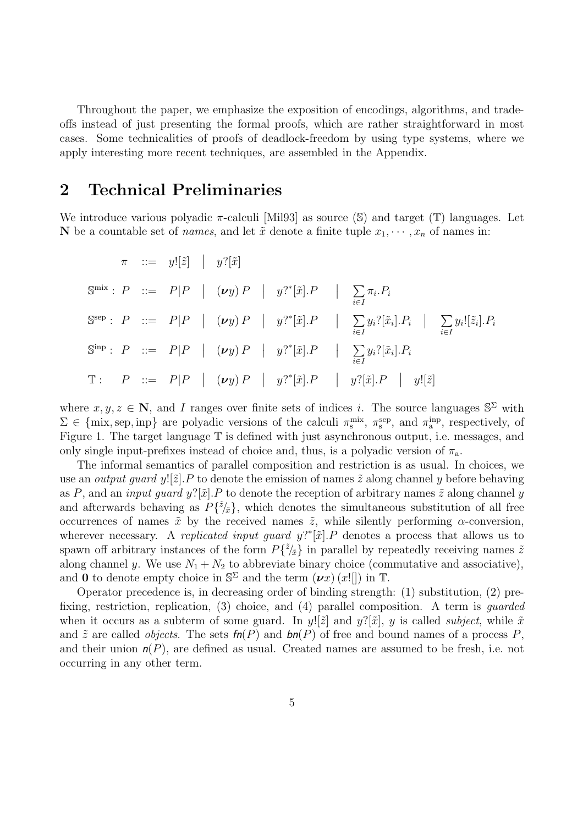Throughout the paper, we emphasize the exposition of encodings, algorithms, and tradeoffs instead of just presenting the formal proofs, which are rather straightforward in most cases. Some technicalities of proofs of deadlock-freedom by using type systems, where we apply interesting more recent techniques, are assembled in the Appendix.

## **2 Technical Preliminaries**

We introduce various polyadic  $\pi$ -calculi [Mil93] as source (S) and target (T) languages. Let **N** be a countable set of *names*, and let  $\tilde{x}$  denote a finite tuple  $x_1, \dots, x_n$  of names in:

$$
\pi \quad ::= \quad y![\tilde{z}] \quad | \quad y?[\tilde{x}]
$$
\n
$$
\mathbb{S}^{\text{mix}} : P \quad ::= \quad P|P \quad | \quad (\nu y) P \quad | \quad y?^{*}[\tilde{x}].P \quad | \quad \sum_{i \in I} \pi_{i}.P_{i}
$$
\n
$$
\mathbb{S}^{\text{sep}} : P \quad ::= \quad P|P \quad | \quad (\nu y) P \quad | \quad y?^{*}[\tilde{x}].P \quad | \quad \sum_{i \in I} y_{i}?[\tilde{x}_{i}].P_{i} \quad | \quad \sum_{i \in I} y_{i}![\tilde{z}_{i}].P_{i}
$$
\n
$$
\mathbb{S}^{\text{inp}} : P \quad ::= \quad P|P \quad | \quad (\nu y) P \quad | \quad y?^{*}[\tilde{x}].P \quad | \quad \sum_{i \in I} y_{i}?[\tilde{x}_{i}].P_{i}
$$
\n
$$
\mathbb{T} : \quad P \quad ::= \quad P|P \quad | \quad (\nu y) P \quad | \quad y?^{*}[\tilde{x}].P \quad | \quad y?[\tilde{x}].P \quad | \quad y![\tilde{z}]
$$

where  $x, y, z \in \mathbb{N}$ , and I ranges over finite sets of indices i. The source languages  $\mathbb{S}^{\Sigma}$  with  $\Sigma \in \{\text{mix}, \text{sep}, \text{inp}\}\$ are polyadic versions of the calculi  $\pi_s^{\text{mix}}, \pi_s^{\text{sep}},$  and  $\pi_a^{\text{inp}},$  respectively, of Figure 1. The target language  $\mathbb T$  is defined with just asynchronous output, i.e. messages, and only single input-prefixes instead of choice and, thus, is a polyadic version of  $\pi_a$ .

The informal semantics of parallel composition and restriction is as usual. In choices, we use an *output quard y*![ $\tilde{z}$ ]. P to denote the emission of names  $\tilde{z}$  along channel y before behaving as P, and an *input guard y*?[ $\tilde{x}$ ]. P to denote the reception of arbitrary names  $\tilde{z}$  along channel y and afterwards behaving as  $P\{\tilde{z}/\tilde{x}\}$ , which denotes the simultaneous substitution of all free occurrences of names  $\tilde{x}$  by the received names  $\tilde{z}$ , while silently performing  $\alpha$ -conversion, wherever necessary. A *replicated input guard*  $y$ <sup>2\*</sup>[ $\tilde{x}$ ]. P denotes a process that allows us to spawn off arbitrary instances of the form  $P\{\tilde{z}/\tilde{x}\}$  in parallel by repeatedly receiving names  $\tilde{z}$ along channel y. We use  $N_1 + N_2$  to abbreviate binary choice (commutative and associative), and **0** to denote empty choice in  $\mathbb{S}^{\Sigma}$  and the term  $(\nu x)(x||)$  in T.

Operator precedence is, in decreasing order of binding strength: (1) substitution, (2) prefixing, restriction, replication, (3) choice, and (4) parallel composition. A term is guarded when it occurs as a subterm of some guard. In  $y:[\tilde{z}]$  and  $y:[\tilde{x}]$ , y is called *subject*, while  $\tilde{x}$ and  $\tilde{z}$  are called *objects*. The sets  $\mathsf{fn}(P)$  and  $\mathsf{bn}(P)$  of free and bound names of a process P, and their union  $n(P)$ , are defined as usual. Created names are assumed to be fresh, i.e. not occurring in any other term.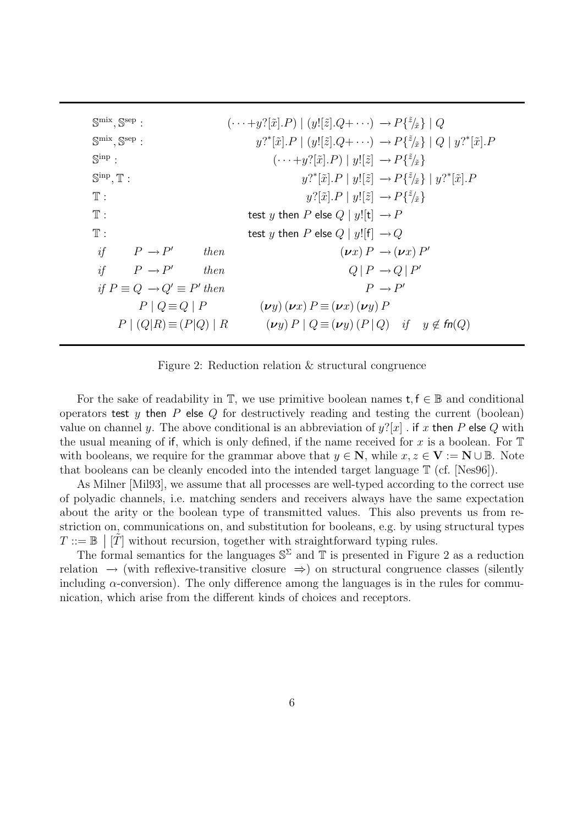| $\mathbb{S}^{\text{mix}}, \mathbb{S}^{\text{sep}}$ : | $(\cdots+y^{2}[\tilde{x}].P)   (y![\tilde{z}].Q+\cdots) \rightarrow P\{\tilde{z}/\tilde{x}\}   Q$                               |
|------------------------------------------------------|---------------------------------------------------------------------------------------------------------------------------------|
| $\mathbb{S}^{\text{mix}}, \mathbb{S}^{\text{sep}}$ : | $y?^{*}[\tilde{x}].P \mid (y![\tilde{z}].Q + \cdots) \rightarrow P\{^{\tilde{z}}_{\tilde{x}}\} \mid Q \mid y?^{*}[\tilde{x}].P$ |
| $\mathbb{S}^{\text{inp}}$ :                          | $(\cdots + y?[\tilde{x}].P)  y![\tilde{z}] \rightarrow P\{\tilde{z}\}$                                                          |
| $\mathbb{S}^{\text{inp}}, \mathbb{T}$ :              | $y?^{*}[\tilde{x}].P \mid y![\tilde{z}] \rightarrow P\{^{z}\!/\tilde{x}\} \mid y?^{*}[\tilde{x}].P$                             |
| $\mathbb{T}$ :                                       | $y?[\tilde{x}].P \mid y![\tilde{z}] \rightarrow P\{\tilde{z}/\tilde{x}\}$                                                       |
| $\mathbb{T}$ :                                       | test y then P else $Q   y![t] \rightarrow P$                                                                                    |
| $\mathbb{T}$ :                                       | test y then P else $Q   y! [f] \rightarrow Q$                                                                                   |
| if<br>$P \rightarrow P'$<br>then                     | $(\nu x) P \rightarrow (\nu x) P'$                                                                                              |
| if<br>$P \rightarrow P'$<br>then                     | $Q \mid P \rightarrow Q \mid P'$                                                                                                |
| if $P \equiv Q \rightarrow Q' \equiv P'$ then        | $P \rightarrow P'$                                                                                                              |
| $P \mid Q \equiv Q \mid P$                           | $(\boldsymbol{\nu} y) (\boldsymbol{\nu} x) P \equiv (\boldsymbol{\nu} x) (\boldsymbol{\nu} y) P$                                |
| $P (Q R) \equiv (P Q)   R$                           | $(\nu y) P \mid Q \equiv (\nu y) (P \mid Q)$ if $y \notin \mathit{fn}(Q)$                                                       |
|                                                      |                                                                                                                                 |

Figure 2: Reduction relation & structural congruence

For the sake of readability in  $\mathbb{T}$ , we use primitive boolean names  $t, f \in \mathbb{B}$  and conditional operators test y then  $P$  else  $Q$  for destructively reading and testing the current (boolean) value on channel y. The above conditional is an abbreviation of  $y'[x]$  . if x then P else Q with the usual meaning of if, which is only defined, if the name received for x is a boolean. For  $\mathbb T$ with booleans, we require for the grammar above that  $y \in \mathbb{N}$ , while  $x, z \in \mathbb{V} := \mathbb{N} \cup \mathbb{B}$ . Note that booleans can be cleanly encoded into the intended target language T (cf. [Nes96]).

As Milner [Mil93], we assume that all processes are well-typed according to the correct use of polyadic channels, i.e. matching senders and receivers always have the same expectation about the arity or the boolean type of transmitted values. This also prevents us from restriction on, communications on, and substitution for booleans, e.g. by using structural types  $T := \mathbb{B} \left[ \tilde{T} \right]$  without recursion, together with straightforward typing rules.

The formal semantics for the languages  $\mathbb{S}^{\Sigma}$  and  $\mathbb{T}$  is presented in Figure 2 as a reduction relation  $\rightarrow$  (with reflexive-transitive closure  $\Rightarrow$ ) on structural congruence classes (silently including  $\alpha$ -conversion). The only difference among the languages is in the rules for communication, which arise from the different kinds of choices and receptors.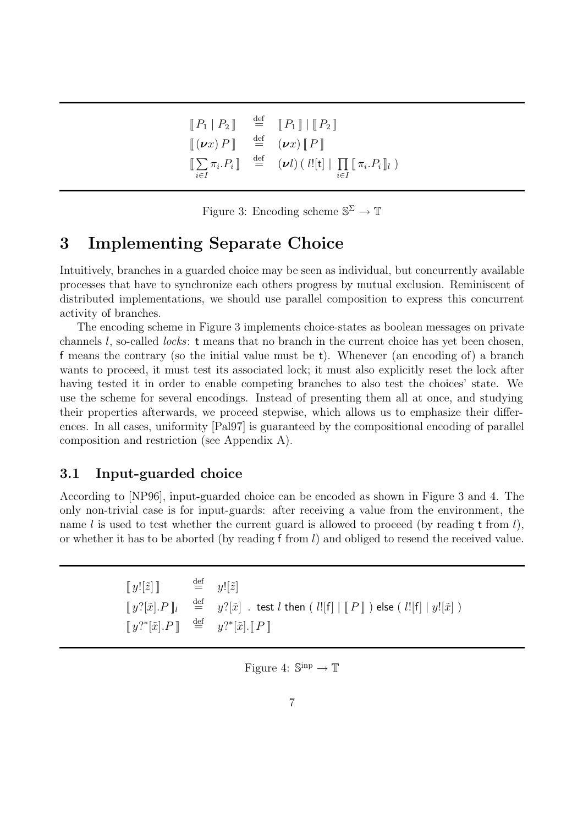| $\llbracket P_1 \mid P_2 \rrbracket$                                             | $\stackrel{\text{def}}{=} \left[ P_1 \right] \mid \left[ P_2 \right]$                                                                                                   |
|----------------------------------------------------------------------------------|-------------------------------------------------------------------------------------------------------------------------------------------------------------------------|
| $[ (\boldsymbol{\nu} x) P ] \stackrel{\text{def}}{=} (\boldsymbol{\nu} x) [ P ]$ |                                                                                                                                                                         |
| $i \in I$                                                                        | $\llbracket \sum \pi_i P_i \rrbracket \quad \stackrel{\text{def}}{=} \quad (\nu l) \left( \right. l! [\mathsf{t}] \mid \prod \llbracket \pi_i P_i \rrbracket_l \right)$ |

Figure 3: Encoding scheme  $\mathbb{S}^{\Sigma} \to \mathbb{T}$ 

## **3 Implementing Separate Choice**

Intuitively, branches in a guarded choice may be seen as individual, but concurrently available processes that have to synchronize each others progress by mutual exclusion. Reminiscent of distributed implementations, we should use parallel composition to express this concurrent activity of branches.

The encoding scheme in Figure 3 implements choice-states as boolean messages on private channels l, so-called locks: t means that no branch in the current choice has yet been chosen, f means the contrary (so the initial value must be t). Whenever (an encoding of) a branch wants to proceed, it must test its associated lock; it must also explicitly reset the lock after having tested it in order to enable competing branches to also test the choices' state. We use the scheme for several encodings. Instead of presenting them all at once, and studying their properties afterwards, we proceed stepwise, which allows us to emphasize their differences. In all cases, uniformity [Pal97] is guaranteed by the compositional encoding of parallel composition and restriction (see Appendix A).

## **3.1 Input-guarded choice**

According to [NP96], input-guarded choice can be encoded as shown in Figure 3 and 4. The only non-trivial case is for input-guards: after receiving a value from the environment, the name l is used to test whether the current guard is allowed to proceed (by reading  $t$  from l), or whether it has to be aborted (by reading f from  $l$ ) and obliged to resend the received value.

| $[y![\tilde{z}]$ $\qquad \qquad \stackrel{\text{def}}{=} \qquad y![\tilde{z}]$ |                                                                                                                                |
|--------------------------------------------------------------------------------|--------------------------------------------------------------------------------------------------------------------------------|
|                                                                                | $[y?[\tilde{x}].P]_l$ $\stackrel{\text{def}}{=} y?[\tilde{x}]$ is test l then $(l![f]   [P]])$ else $(l![f]   y![\tilde{x}] )$ |
|                                                                                | $\llbracket y'^{*}[\tilde{x}].P \rrbracket \stackrel{\text{def}}{=} y'^{*}[\tilde{x}].\llbracket P \rrbracket$                 |

Figure 4:  $\mathbb{S}^{\text{inp}} \to \mathbb{T}$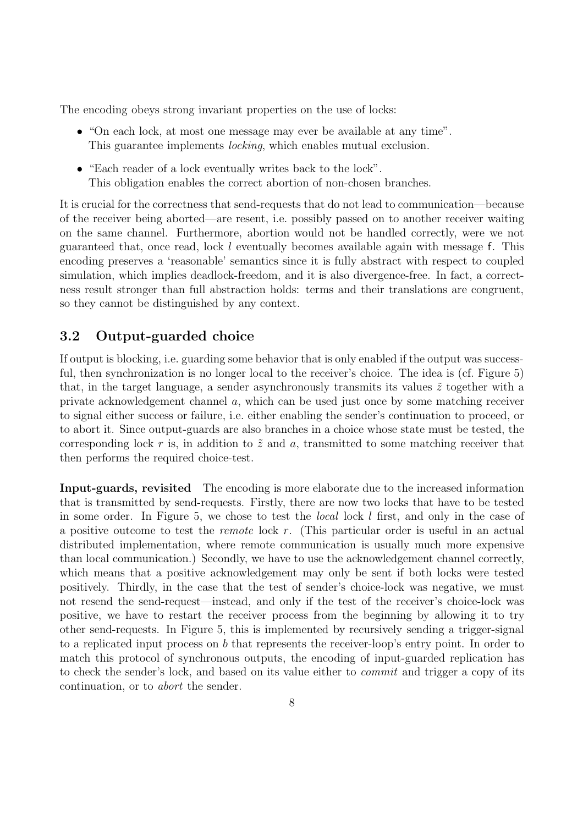The encoding obeys strong invariant properties on the use of locks:

- "On each lock, at most one message may ever be available at any time". This guarantee implements locking, which enables mutual exclusion.
- "Each reader of a lock eventually writes back to the lock". This obligation enables the correct abortion of non-chosen branches.

It is crucial for the correctness that send-requests that do not lead to communication—because of the receiver being aborted—are resent, i.e. possibly passed on to another receiver waiting on the same channel. Furthermore, abortion would not be handled correctly, were we not guaranteed that, once read, lock  $l$  eventually becomes available again with message f. This encoding preserves a 'reasonable' semantics since it is fully abstract with respect to coupled simulation, which implies deadlock-freedom, and it is also divergence-free. In fact, a correctness result stronger than full abstraction holds: terms and their translations are congruent, so they cannot be distinguished by any context.

## **3.2 Output-guarded choice**

If output is blocking, i.e. guarding some behavior that is only enabled if the output was successful, then synchronization is no longer local to the receiver's choice. The idea is (cf. Figure 5) that, in the target language, a sender asynchronously transmits its values  $\tilde{z}$  together with a private acknowledgement channel a, which can be used just once by some matching receiver to signal either success or failure, i.e. either enabling the sender's continuation to proceed, or to abort it. Since output-guards are also branches in a choice whose state must be tested, the corresponding lock r is, in addition to  $\tilde{z}$  and a, transmitted to some matching receiver that then performs the required choice-test.

**Input-guards, revisited** The encoding is more elaborate due to the increased information that is transmitted by send-requests. Firstly, there are now two locks that have to be tested in some order. In Figure 5, we chose to test the local lock l first, and only in the case of a positive outcome to test the remote lock r. (This particular order is useful in an actual distributed implementation, where remote communication is usually much more expensive than local communication.) Secondly, we have to use the acknowledgement channel correctly, which means that a positive acknowledgement may only be sent if both locks were tested positively. Thirdly, in the case that the test of sender's choice-lock was negative, we must not resend the send-request—instead, and only if the test of the receiver's choice-lock was positive, we have to restart the receiver process from the beginning by allowing it to try other send-requests. In Figure 5, this is implemented by recursively sending a trigger-signal to a replicated input process on b that represents the receiver-loop's entry point. In order to match this protocol of synchronous outputs, the encoding of input-guarded replication has to check the sender's lock, and based on its value either to commit and trigger a copy of its continuation, or to abort the sender.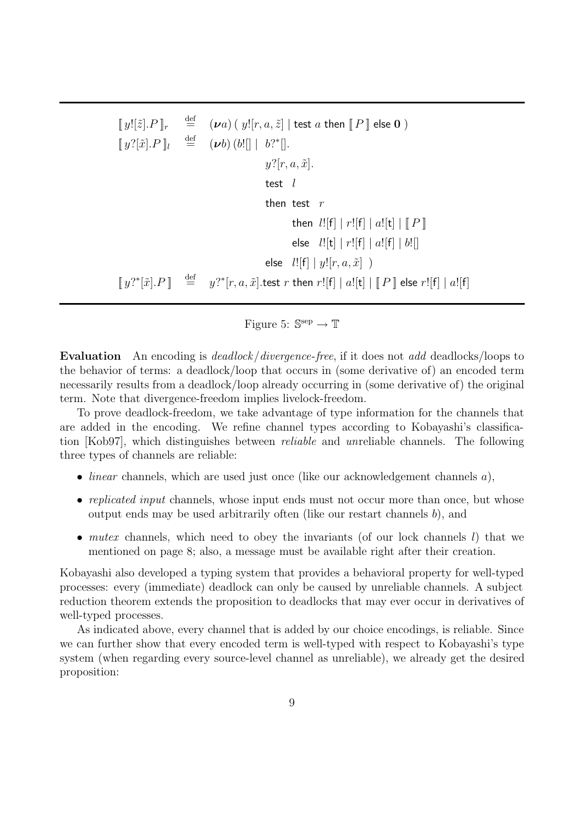$\llbracket y \cdot |[\tilde{z}].P \rrbracket_r$  $\stackrel{\text{def}}{=} (\nu a) (y![r, a, \tilde{z}] \mid \text{test } a \text{ then } \llbracket P \rrbracket \text{ else } 0)$  $\llbracket y?[\tilde{x}].P \rrbracket_l$  $\stackrel{\text{def}}{=}$  (*vb*) (*b*![] | *b*?\*[].  $y$ ?[r, a,  $\tilde{x}$ ]. test  $l$ then test  $r$ then  $l![f] | r![f] | a![t] | || P$ else  $l![t] | r![f] | a![f] | b![]$ else  $l!$ [f]  $|y!$ [ $r, a, \tilde{x}$ ] )  $[y$ <sup>2</sup>\* $[\tilde{x}]$ . $P$ ]  $\stackrel{\text{def}}{=}$  $\mathcal{L}^{\text{def}}=y$ ?\* $[r,a,\tilde{x}].$ test  $r$  then  $r![\mathsf{f}] \mid a![\mathsf{t}] \mid [ \! [ \boldsymbol{P} ] \!]$  else  $r![\mathsf{f}] \mid a![\mathsf{f}]$ 

Figure 5:  $\mathbb{S}^{\text{sep}} \to \mathbb{T}$ 

**Evaluation** An encoding is *deadlock/divergence-free*, if it does not *add* deadlocks/loops to the behavior of terms: a deadlock/loop that occurs in (some derivative of) an encoded term necessarily results from a deadlock/loop already occurring in (some derivative of) the original term. Note that divergence-freedom implies livelock-freedom.

To prove deadlock-freedom, we take advantage of type information for the channels that are added in the encoding. We refine channel types according to Kobayashi's classification [Kob97], which distinguishes between reliable and unreliable channels. The following three types of channels are reliable:

- *linear* channels, which are used just once (like our acknowledgement channels  $a$ ),
- replicated input channels, whose input ends must not occur more than once, but whose output ends may be used arbitrarily often (like our restart channels b), and
- mutex channels, which need to obey the invariants (of our lock channels  $l$ ) that we mentioned on page 8; also, a message must be available right after their creation.

Kobayashi also developed a typing system that provides a behavioral property for well-typed processes: every (immediate) deadlock can only be caused by unreliable channels. A subject reduction theorem extends the proposition to deadlocks that may ever occur in derivatives of well-typed processes.

As indicated above, every channel that is added by our choice encodings, is reliable. Since we can further show that every encoded term is well-typed with respect to Kobayashi's type system (when regarding every source-level channel as unreliable), we already get the desired proposition: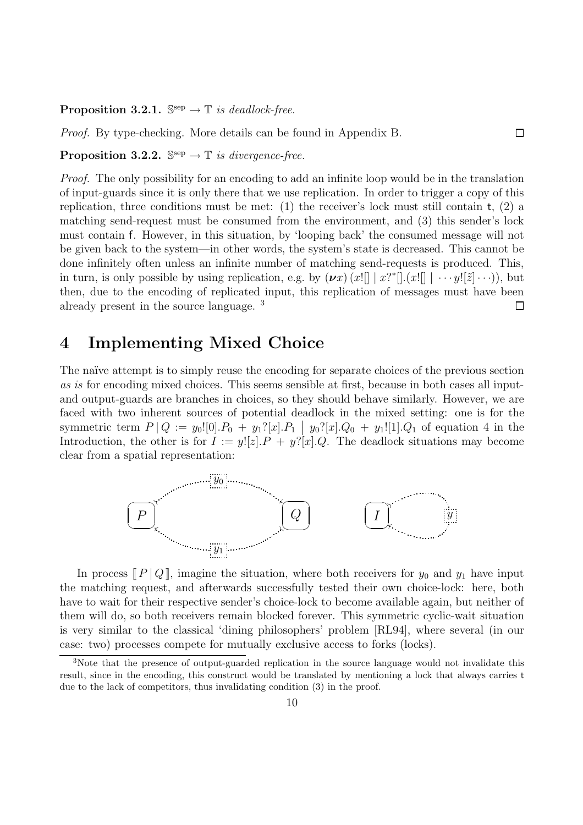**Proposition 3.2.1.**  $\mathbb{S}^{\text{sep}} \to \mathbb{T}$  is deadlock-free.

Proof. By type-checking. More details can be found in Appendix B.

**Proposition 3.2.2.**  $\mathbb{S}^{\text{sep}} \to \mathbb{T}$  is divergence-free.

Proof. The only possibility for an encoding to add an infinite loop would be in the translation of input-guards since it is only there that we use replication. In order to trigger a copy of this replication, three conditions must be met: (1) the receiver's lock must still contain  $t$ , (2) a matching send-request must be consumed from the environment, and (3) this sender's lock must contain f. However, in this situation, by 'looping back' the consumed message will not be given back to the system—in other words, the system's state is decreased. This cannot be done infinitely often unless an infinite number of matching send-requests is produced. This, in turn, is only possible by using replication, e.g. by  $(\nu x)$   $(x!] \mid x$ <sup>\*</sup> $[].(x!] \mid \cdots$   $y![\tilde{z}] \cdots)$ , but then, due to the encoding of replicated input, this replication of messages must have been already present in the source language. <sup>3</sup>  $\Box$ 

 $\Box$ 

## **4 Implementing Mixed Choice**

The naïve attempt is to simply reuse the encoding for separate choices of the previous section as is for encoding mixed choices. This seems sensible at first, because in both cases all inputand output-guards are branches in choices, so they should behave similarly. However, we are faced with two inherent sources of potential deadlock in the mixed setting: one is for the symmetric term  $P|Q := y_0![0] \cdot P_0 + y_1^2[x] \cdot P_1 \mid y_0^2[x] \cdot Q_0 + y_1^1[1] \cdot Q_1$  of equation 4 in the Introduction, the other is for  $I := y![z] \cdot P + y![x] \cdot Q$ . The deadlock situations may become clear from a spatial representation:



In process  $\llbracket P \rrbracket Q \rrbracket$ , imagine the situation, where both receivers for  $y_0$  and  $y_1$  have input the matching request, and afterwards successfully tested their own choice-lock: here, both have to wait for their respective sender's choice-lock to become available again, but neither of them will do, so both receivers remain blocked forever. This symmetric cyclic-wait situation is very similar to the classical 'dining philosophers' problem [RL94], where several (in our case: two) processes compete for mutually exclusive access to forks (locks).

<sup>3</sup>Note that the presence of output-guarded replication in the source language would not invalidate this result, since in the encoding, this construct would be translated by mentioning a lock that always carries t due to the lack of competitors, thus invalidating condition (3) in the proof.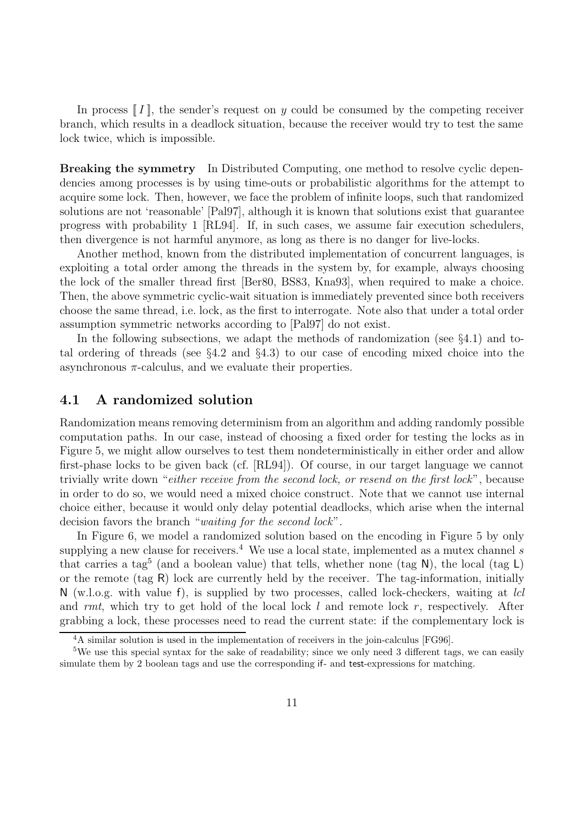In process  $\llbracket I \rrbracket$ , the sender's request on y could be consumed by the competing receiver branch, which results in a deadlock situation, because the receiver would try to test the same lock twice, which is impossible.

**Breaking the symmetry** In Distributed Computing, one method to resolve cyclic dependencies among processes is by using time-outs or probabilistic algorithms for the attempt to acquire some lock. Then, however, we face the problem of infinite loops, such that randomized solutions are not 'reasonable' [Pal97], although it is known that solutions exist that guarantee progress with probability 1 [RL94]. If, in such cases, we assume fair execution schedulers, then divergence is not harmful anymore, as long as there is no danger for live-locks.

Another method, known from the distributed implementation of concurrent languages, is exploiting a total order among the threads in the system by, for example, always choosing the lock of the smaller thread first [Ber80, BS83, Kna93], when required to make a choice. Then, the above symmetric cyclic-wait situation is immediately prevented since both receivers choose the same thread, i.e. lock, as the first to interrogate. Note also that under a total order assumption symmetric networks according to [Pal97] do not exist.

In the following subsections, we adapt the methods of randomization (see  $\S 4.1$ ) and total ordering of threads (see §4.2 and §4.3) to our case of encoding mixed choice into the asynchronous  $\pi$ -calculus, and we evaluate their properties.

## **4.1 A randomized solution**

Randomization means removing determinism from an algorithm and adding randomly possible computation paths. In our case, instead of choosing a fixed order for testing the locks as in Figure 5, we might allow ourselves to test them nondeterministically in either order and allow first-phase locks to be given back (cf. [RL94]). Of course, in our target language we cannot trivially write down "either receive from the second lock, or resend on the first lock", because in order to do so, we would need a mixed choice construct. Note that we cannot use internal choice either, because it would only delay potential deadlocks, which arise when the internal decision favors the branch "waiting for the second lock".

In Figure 6, we model a randomized solution based on the encoding in Figure 5 by only supplying a new clause for receivers.<sup>4</sup> We use a local state, implemented as a mutex channel s that carries a tag<sup>5</sup> (and a boolean value) that tells, whether none (tag N), the local (tag L) or the remote (tag  $R$ ) lock are currently held by the receiver. The tag-information, initially  $N$  (w.l.o.g. with value f), is supplied by two processes, called lock-checkers, waiting at *lcl* and rmt, which try to get hold of the local lock l and remote lock r, respectively. After grabbing a lock, these processes need to read the current state: if the complementary lock is

<sup>4</sup>A similar solution is used in the implementation of receivers in the join-calculus [FG96].

<sup>5</sup>We use this special syntax for the sake of readability; since we only need 3 different tags, we can easily simulate them by 2 boolean tags and use the corresponding if- and test-expressions for matching.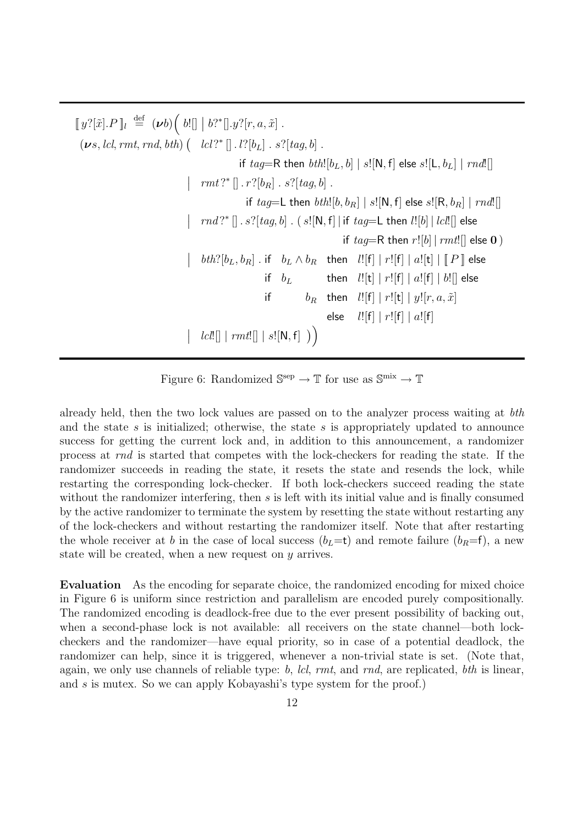$\llbracket y?[\tilde{x}].P \rrbracket_l \stackrel{\text{def}}{=} (\boldsymbol{\nu} b) \Big( b! \rrbracket \mid b?^* \rrbracket . y? [r, a, \tilde{x}] .$  $(\boldsymbol{\nu} s, lcl, rmt, rnd, bth)$   $\left( \begin{array}{c} lcl ?^* \left[ \right].\ l? [b_L] \ .\ s? [tag, b] \ . \end{array} \right.$ if  $taq=R$  then  $bth![b_L, b] | s![N, f]$  else  $s![L, b_L] | rnd!]$  $\left\vert \quad rmt ?^* \left[ \right]. r ?[b_R] . s ?[tag, b] .$ if  $tag=$  then  $bth$ [[b,  $b_R$ ] | s![N, f] else s![R,  $b_R$ ] |  $rnd$ [[]  $\bigg\}$  $rnd$  ?\* [].  $s$ ?[tag, b]. ( $s$ ![N, f] | if tag=L then  $l$ ![b] |  $lcl$ .]] else if  $tag=R$  then  $r![b]$  |  $rmt![$  else **0** )  $\overline{\phantom{a}}$  $\mathit{bth}?\left[b_L, b_R\right] \text{ . if } \quad b_L \wedge b_R \quad \text{then } \quad \mathit{l} \left[\left.\mathsf{f}\right] \ \right| \ r \left[\left.\mathsf{f}\right] \ \right| \ a \left[\left.\mathsf{t}\right] \ \right| \, \left[\!\!\left[ \ \mathit{P} \ \right] \right] \ \text{else}$ if  $b_L$  then  $l![t] | r![f] | a![f] | b![$  else if  $b_R$  then  $l![f] | r![t] | y! [r, a, \tilde{x}]$ else  $l![f] | r![f] | a![f]$   lcl![] <sup>|</sup> rmt![] <sup>|</sup> <sup>s</sup>![N, <sup>f</sup>]

Figure 6: Randomized  $\mathbb{S}^{\text{sep}} \to \mathbb{T}$  for use as  $\mathbb{S}^{\text{mix}} \to \mathbb{T}$ 

already held, then the two lock values are passed on to the analyzer process waiting at bth and the state s is initialized; otherwise, the state s is appropriately updated to announce success for getting the current lock and, in addition to this announcement, a randomizer process at rnd is started that competes with the lock-checkers for reading the state. If the randomizer succeeds in reading the state, it resets the state and resends the lock, while restarting the corresponding lock-checker. If both lock-checkers succeed reading the state without the randomizer interfering, then s is left with its initial value and is finally consumed by the active randomizer to terminate the system by resetting the state without restarting any of the lock-checkers and without restarting the randomizer itself. Note that after restarting the whole receiver at b in the case of local success  $(b<sub>L</sub>=t)$  and remote failure  $(b<sub>R</sub>=f)$ , a new state will be created, when a new request on y arrives.

**Evaluation** As the encoding for separate choice, the randomized encoding for mixed choice in Figure 6 is uniform since restriction and parallelism are encoded purely compositionally. The randomized encoding is deadlock-free due to the ever present possibility of backing out, when a second-phase lock is not available: all receivers on the state channel—both lockcheckers and the randomizer—have equal priority, so in case of a potential deadlock, the randomizer can help, since it is triggered, whenever a non-trivial state is set. (Note that, again, we only use channels of reliable type: b, lcl,  $rmt$ , and  $rnd$ , are replicated, bth is linear, and s is mutex. So we can apply Kobayashi's type system for the proof.)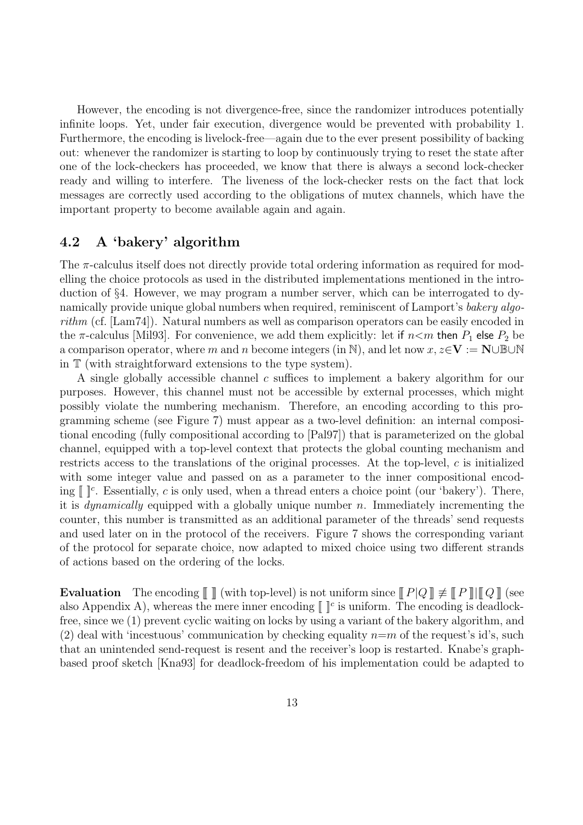However, the encoding is not divergence-free, since the randomizer introduces potentially infinite loops. Yet, under fair execution, divergence would be prevented with probability 1. Furthermore, the encoding is livelock-free—again due to the ever present possibility of backing out: whenever the randomizer is starting to loop by continuously trying to reset the state after one of the lock-checkers has proceeded, we know that there is always a second lock-checker ready and willing to interfere. The liveness of the lock-checker rests on the fact that lock messages are correctly used according to the obligations of mutex channels, which have the important property to become available again and again.

## **4.2 A 'bakery' algorithm**

The  $\pi$ -calculus itself does not directly provide total ordering information as required for modelling the choice protocols as used in the distributed implementations mentioned in the introduction of §4. However, we may program a number server, which can be interrogated to dynamically provide unique global numbers when required, reminiscent of Lamport's bakery algorithm (cf.  $\text{Lam74}$ ). Natural numbers as well as comparison operators can be easily encoded in the  $\pi$ -calculus [Mil93]. For convenience, we add them explicitly: let if  $n\lt m$  then  $P_1$  else  $P_2$  be a comparison operator, where m and n become integers (in N), and let now  $x, z \in V := N \cup \mathbb{B} \cup N$ in T (with straightforward extensions to the type system).

A single globally accessible channel c suffices to implement a bakery algorithm for our purposes. However, this channel must not be accessible by external processes, which might possibly violate the numbering mechanism. Therefore, an encoding according to this programming scheme (see Figure 7) must appear as a two-level definition: an internal compositional encoding (fully compositional according to [Pal97]) that is parameterized on the global channel, equipped with a top-level context that protects the global counting mechanism and restricts access to the translations of the original processes. At the top-level, c is initialized with some integer value and passed on as a parameter to the inner compositional encoding  $\llbracket \cdot \rrbracket^c$ . Essentially, c is only used, when a thread enters a choice point (our 'bakery'). There, it is *dynamically* equipped with a globally unique number n. Immediately incrementing the counter, this number is transmitted as an additional parameter of the threads' send requests and used later on in the protocol of the receivers. Figure 7 shows the corresponding variant of the protocol for separate choice, now adapted to mixed choice using two different strands of actions based on the ordering of the locks.

**Evaluation** The encoding  $\llbracket \rrbracket$  (with top-level) is not uniform since  $\llbracket P|Q \rrbracket \neq \llbracket P \rrbracket \llbracket Q \rrbracket$  (see also Appendix A), whereas the mere inner encoding  $\llbracket \cdot \rrbracket^c$  is uniform. The encoding is deadlockfree, since we (1) prevent cyclic waiting on locks by using a variant of the bakery algorithm, and (2) deal with 'incestuous' communication by checking equality  $n=m$  of the request's id's, such that an unintended send-request is resent and the receiver's loop is restarted. Knabe's graphbased proof sketch [Kna93] for deadlock-freedom of his implementation could be adapted to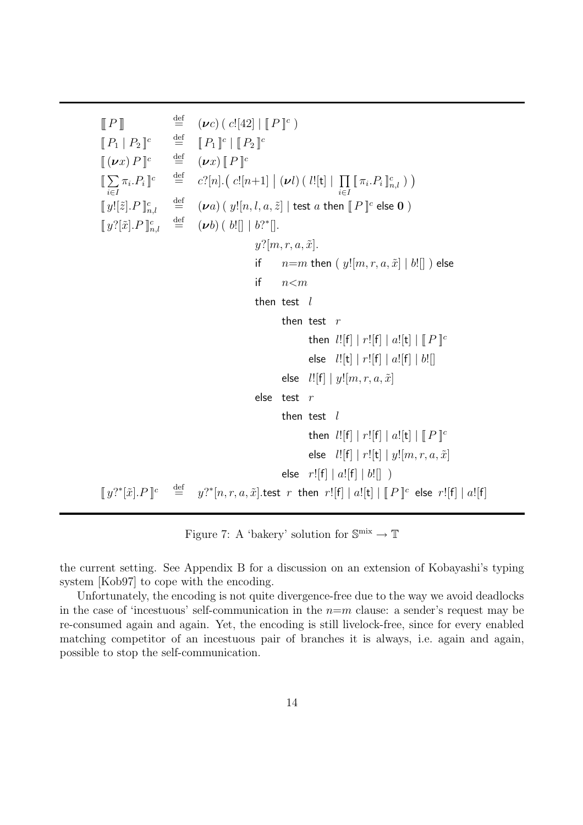$\llbracket P \rrbracket$   $\stackrel{\text{def}}{=} (\nu c) ( c! [42] \mid \llbracket P \rrbracket^c )$ <br> $\llbracket P_1 \mid P_2 \rrbracket^c$   $\stackrel{\text{def}}{=} \llbracket P_1 \rrbracket^c \mid \llbracket P_2 \rrbracket^c$  $[P_1 | P_2]$ <sup>c</sup>  $\stackrel{\text{def}}{=} [P_1]$ <sup>c</sup>  $[P_2]$ <sup>c</sup>  $[(\boldsymbol{\nu}x) P]^{c}$  def  $(\boldsymbol{\nu}x) [P]^{c}$  $[\![ \sum\!]$ i∈I  $\pi_i.P_i$ ]<sup>c</sup>  $\stackrel{\text{def}}{=}$  $\stackrel{\text{def}}{=} c^2[n] \cdot ( \; c! [n+1] \; | \; (\nu l) \, ( \; l! [\texttt{t}] \; | \; \prod_{i \in I}$  $[\![\pi_i.P_i]\!]_{n,l}^c$ )  $[\![\,y![\widetilde{z}].P\,]\!]_{n,l}^c$  $\stackrel{\text{def}}{=} (\nu a)$  (  $y![n,l,a,\tilde{z}]$  | test  $a$  then  $\llbracket P \rrbracket^c$  else  $\mathbf 0$  )  $[\![\,y?[\tilde{x}].P\,]^{c}_{n,l}$  $\stackrel{\text{def}}{=} (\boldsymbol{\nu} b) (b! \cdots b)$ <sup>2\*</sup> $\cdots$  $y$ ?[m, r, a,  $\tilde{x}$ ]. if  $n=m$  then  $(y![m, r, a, \tilde{x}] | b!]$  ) else if  $n < m$ then test  $l$ then test  $r$ then  $l![f] | r![f] | a![t] | || P ||^c$ else  $l![t] | r![f] | a![f] | b![]$ else  $l![f] | y![m, r, a, \tilde{x}]$ else test r then test  $l$ then  $l![f] | r![f] | a![t] | || P ||^c$ else  $l![f] | r![t] | y![m, r, a, \tilde{x}]$ else  $r![f] | a![f] | b![]$  $[[y?^*[\tilde{x}].P]^c \stackrel{\text{def}}{=}$  $\widetilde{v}^{\text{net}}=y?^{*}[n,r,a,\tilde{x}].$ test  $r$  then  $r![\mathrm{f}]\mid a![\mathrm{t}]\mid [I\!\!P]\!]^c$  else  $r![\mathrm{f}]\mid a![\mathrm{f}]$ 

Figure 7: A 'bakery' solution for  $\mathbb{S}^{\text{mix}} \to \mathbb{T}$ 

the current setting. See Appendix B for a discussion on an extension of Kobayashi's typing system [Kob97] to cope with the encoding.

Unfortunately, the encoding is not quite divergence-free due to the way we avoid deadlocks in the case of 'incestuous' self-communication in the  $n=m$  clause: a sender's request may be re-consumed again and again. Yet, the encoding is still livelock-free, since for every enabled matching competitor of an incestuous pair of branches it is always, i.e. again and again, possible to stop the self-communication.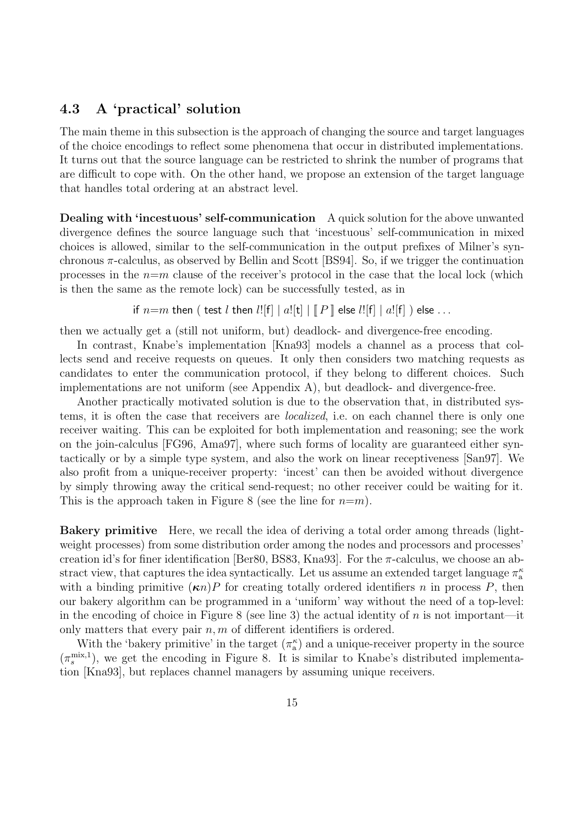## **4.3 A 'practical' solution**

The main theme in this subsection is the approach of changing the source and target languages of the choice encodings to reflect some phenomena that occur in distributed implementations. It turns out that the source language can be restricted to shrink the number of programs that are difficult to cope with. On the other hand, we propose an extension of the target language that handles total ordering at an abstract level.

**Dealing with 'incestuous' self-communication** A quick solution for the above unwanted divergence defines the source language such that 'incestuous' self-communication in mixed choices is allowed, similar to the self-communication in the output prefixes of Milner's synchronous  $\pi$ -calculus, as observed by Bellin and Scott [BS94]. So, if we trigger the continuation processes in the  $n=m$  clause of the receiver's protocol in the case that the local lock (which is then the same as the remote lock) can be successfully tested, as in

if  $n=m$  then ( test l then  $l![f] | a![t] | \mathbb{F}$  |  $[0,1]$  else  $l![f] | a![f]$  ) else ...

then we actually get a (still not uniform, but) deadlock- and divergence-free encoding.

In contrast, Knabe's implementation [Kna93] models a channel as a process that collects send and receive requests on queues. It only then considers two matching requests as candidates to enter the communication protocol, if they belong to different choices. Such implementations are not uniform (see Appendix A), but deadlock- and divergence-free.

Another practically motivated solution is due to the observation that, in distributed systems, it is often the case that receivers are localized, i.e. on each channel there is only one receiver waiting. This can be exploited for both implementation and reasoning; see the work on the join-calculus [FG96, Ama97], where such forms of locality are guaranteed either syntactically or by a simple type system, and also the work on linear receptiveness [San97]. We also profit from a unique-receiver property: 'incest' can then be avoided without divergence by simply throwing away the critical send-request; no other receiver could be waiting for it. This is the approach taken in Figure 8 (see the line for  $n=m$ ).

**Bakery primitive** Here, we recall the idea of deriving a total order among threads (lightweight processes) from some distribution order among the nodes and processors and processes' creation id's for finer identification [Ber80, BS83, Kna93]. For the  $\pi$ -calculus, we choose an abstract view, that captures the idea syntactically. Let us assume an extended target language  $\pi_a^{\kappa}$ with a binding primitive  $(\kappa n)P$  for creating totally ordered identifiers n in process P, then our bakery algorithm can be programmed in a 'uniform' way without the need of a top-level: in the encoding of choice in Figure 8 (see line 3) the actual identity of  $n$  is not important—it only matters that every pair  $n, m$  of different identifiers is ordered.

With the 'bakery primitive' in the target  $(\pi_a^{\kappa})$  and a unique-receiver property in the source  $(\pi_s^{\text{mix},1})$ , we get the encoding in Figure 8. It is similar to Knabe's distributed implementation [Kna93], but replaces channel managers by assuming unique receivers.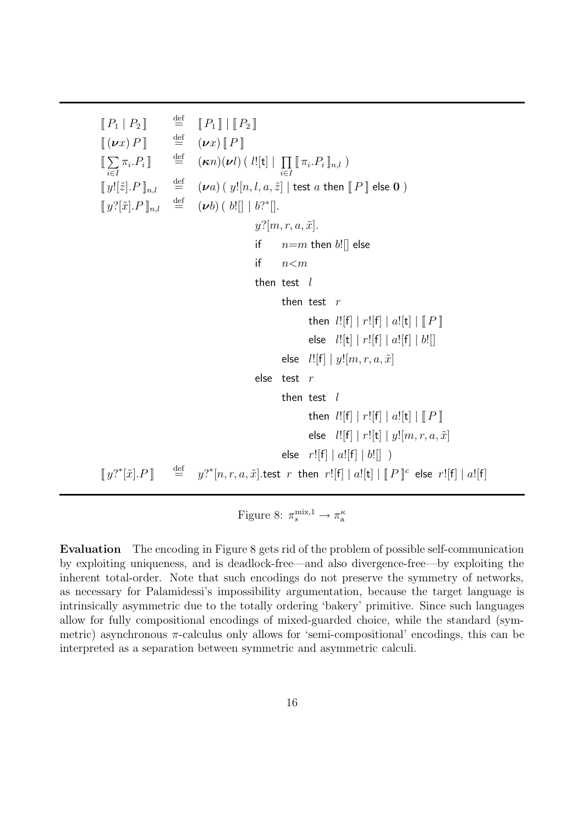$\begin{bmatrix} [P_1 | P_2] \ [P_2 | P_3] \end{bmatrix}$  def  $\begin{bmatrix} [P_1] | [P_2] \ [P_3 | P_4] \end{bmatrix}$  $[\![ (\boldsymbol{\nu} \boldsymbol{x}) \boldsymbol{P} ]\!]$   $\stackrel{\text{def}}{=} (\boldsymbol{\nu} \boldsymbol{x}) [\![ \boldsymbol{P} ]\!]$  $[\![ \sum\nolimits$ i∈I  $\pi_i.P_i \rrbracket \quad \overset{\text{def}}{=} \quad (\boldsymbol{\kappa} n)(\boldsymbol{\nu} l) \left( \right. l! [\texttt{t}] \mid \; \prod \;$ i∈I  $[\![ \pi_i.P_i]\!]_{n,l}$ )  $\llbracket y![\tilde{z}].P \rrbracket_{n,l}$  $\stackrel{\text{def}}{=} (\nu a)$   $(\ y![n,l,a,\tilde{z}] \mid \text{test } a \text{ then } \llbracket P \rrbracket$  else  $\mathbf 0$ )  $\llbracket y^{\gamma}[\tilde{x}].P \rrbracket_{n,l}$  $\stackrel{\text{def}}{=} (\boldsymbol{\nu} b) (b! \mid b?^* \mid).$  $y$ ?[m, r, a,  $\tilde{x}$ ]. if  $n=m$  then  $b$ ! [] else if  $n < m$ then test  $l$ then test  $r$ then  $l![f] | r![f] | a![t] | || P$ else  $l![t] | r![f] | a![f] | b![]$ else  $l![f] | y![m, r, a, \tilde{x}]$ else test r then test  $l$ then  $l![f] | r![f] | a![t] | || P$ else  $l![f] | r![t] | y![m, r, a, \tilde{x}]$ else  $r![f] | a![f] | b![]$  $[y$ <sup>2</sup>\* $[\tilde{x}]$ . $P$ ]  $\stackrel{\text{def}}{=}$  $\widetilde{v}^{\text{net}}=y?^{*}[n,r,a,\tilde{x}].$ test  $r$  then  $r![\mathrm{f}]\mid a![\mathrm{t}]\mid [I\!\!P]\!]^c$  else  $r![\mathrm{f}]\mid a![\mathrm{f}]$ 

Figure 8:  $\pi_s^{\text{mix},1} \to \pi_a^{\kappa}$ 

**Evaluation** The encoding in Figure 8 gets rid of the problem of possible self-communication by exploiting uniqueness, and is deadlock-free—and also divergence-free—by exploiting the inherent total-order. Note that such encodings do not preserve the symmetry of networks, as necessary for Palamidessi's impossibility argumentation, because the target language is intrinsically asymmetric due to the totally ordering 'bakery' primitive. Since such languages allow for fully compositional encodings of mixed-guarded choice, while the standard (symmetric) asynchronous  $\pi$ -calculus only allows for 'semi-compositional' encodings, this can be interpreted as a separation between symmetric and asymmetric calculi.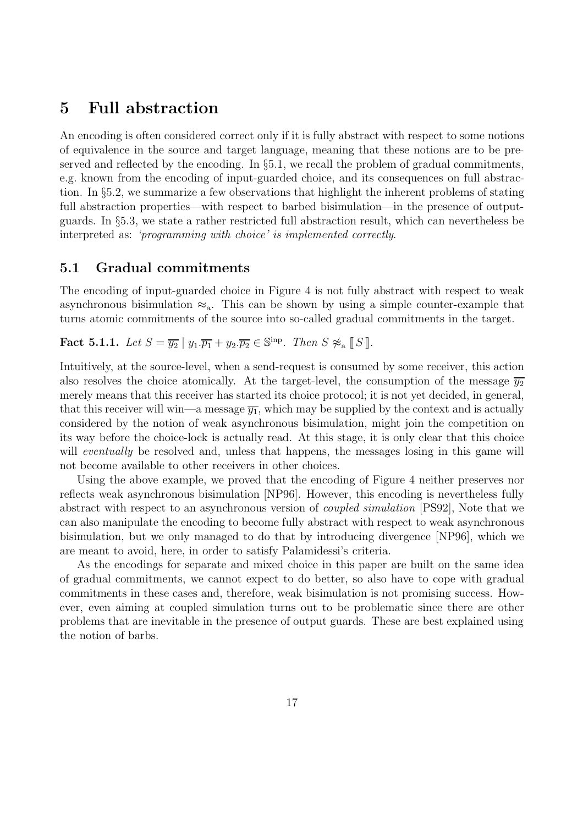## **5 Full abstraction**

An encoding is often considered correct only if it is fully abstract with respect to some notions of equivalence in the source and target language, meaning that these notions are to be preserved and reflected by the encoding. In §5.1, we recall the problem of gradual commitments, e.g. known from the encoding of input-guarded choice, and its consequences on full abstraction. In §5.2, we summarize a few observations that highlight the inherent problems of stating full abstraction properties—with respect to barbed bisimulation—in the presence of outputguards. In §5.3, we state a rather restricted full abstraction result, which can nevertheless be interpreted as: 'programming with choice' is implemented correctly.

## **5.1 Gradual commitments**

The encoding of input-guarded choice in Figure 4 is not fully abstract with respect to weak asynchronous bisimulation  $\approx_a$ . This can be shown by using a simple counter-example that turns atomic commitments of the source into so-called gradual commitments in the target.

**Fact 5.1.1.** Let  $S = \overline{y_2} | y_1 \cdot \overline{p_1} + y_2 \cdot \overline{p_2} \in \mathbb{S}^{\text{inp}}$ . Then  $S \not\approx_{\text{a}} \llbracket S \rrbracket$ .

Intuitively, at the source-level, when a send-request is consumed by some receiver, this action also resolves the choice atomically. At the target-level, the consumption of the message  $\overline{y_2}$ merely means that this receiver has started its choice protocol; it is not yet decided, in general, that this receiver will win—a message  $\overline{y_1}$ , which may be supplied by the context and is actually considered by the notion of weak asynchronous bisimulation, might join the competition on its way before the choice-lock is actually read. At this stage, it is only clear that this choice will *eventually* be resolved and, unless that happens, the messages losing in this game will not become available to other receivers in other choices.

Using the above example, we proved that the encoding of Figure 4 neither preserves nor reflects weak asynchronous bisimulation [NP96]. However, this encoding is nevertheless fully abstract with respect to an asynchronous version of coupled simulation [PS92], Note that we can also manipulate the encoding to become fully abstract with respect to weak asynchronous bisimulation, but we only managed to do that by introducing divergence [NP96], which we are meant to avoid, here, in order to satisfy Palamidessi's criteria.

As the encodings for separate and mixed choice in this paper are built on the same idea of gradual commitments, we cannot expect to do better, so also have to cope with gradual commitments in these cases and, therefore, weak bisimulation is not promising success. However, even aiming at coupled simulation turns out to be problematic since there are other problems that are inevitable in the presence of output guards. These are best explained using the notion of barbs.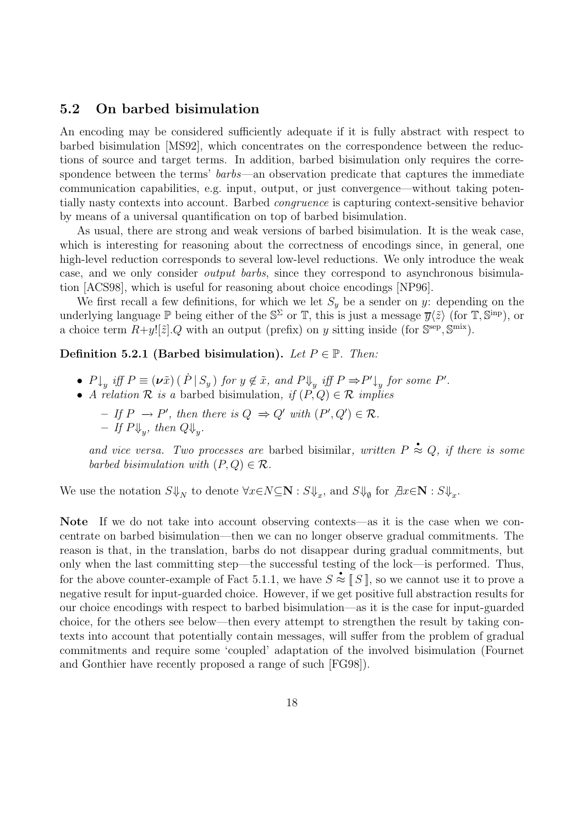## **5.2 On barbed bisimulation**

An encoding may be considered sufficiently adequate if it is fully abstract with respect to barbed bisimulation [MS92], which concentrates on the correspondence between the reductions of source and target terms. In addition, barbed bisimulation only requires the correspondence between the terms' *barbs*—an observation predicate that captures the immediate communication capabilities, e.g. input, output, or just convergence—without taking potentially nasty contexts into account. Barbed congruence is capturing context-sensitive behavior by means of a universal quantification on top of barbed bisimulation.

As usual, there are strong and weak versions of barbed bisimulation. It is the weak case, which is interesting for reasoning about the correctness of encodings since, in general, one high-level reduction corresponds to several low-level reductions. We only introduce the weak case, and we only consider output barbs, since they correspond to asynchronous bisimulation [ACS98], which is useful for reasoning about choice encodings [NP96].

We first recall a few definitions, for which we let  $S_y$  be a sender on y: depending on the underlying language P being either of the  $\mathbb{S}^{\Sigma}$  or T, this is just a message  $\overline{y}(\tilde{z})$  (for T,  $\overline{S}^{\text{inp}}$ ), or a choice term  $R+y![\tilde{z}].Q$  with an output (prefix) on y sitting inside (for  $\mathbb{S}^{\text{sep}}, \mathbb{S}^{\text{mix}}$ ).

### **Definition 5.2.1 (Barbed bisimulation).** Let  $P \in \mathbb{P}$ . Then:

- $P \downarrow_y \text{ iff } P \equiv (\nu \tilde{x}) \left( P \mid S_y \right) \text{ for } y \notin \tilde{x}, \text{ and } P \Downarrow_y \text{ iff } P \Rightarrow P' \downarrow_y \text{ for some } P'.$
- A relation  $\mathcal R$  is a barbed bisimulation, if  $(P, Q) \in \mathcal R$  implies
	- $-$  If  $P \rightarrow P'$ , then there is  $Q \Rightarrow Q'$  with  $(P', Q') \in \mathcal{R}$ .  $-$  If  $P\Downarrow_{w}$ , then  $Q\Downarrow_{w}$ .

and vice versa. Two processes are barbed bisimilar, written  $P \approx Q$ , if there is some barbed bisimulation with  $(P,Q) \in \mathcal{R}$ .

We use the notation  $S\Downarrow_N$  to denote  $\forall x \in N \subseteq \mathbb{N} : S\Downarrow_x$ , and  $S\Downarrow_{\emptyset}$  for  $\exists x \in \mathbb{N} : S\Downarrow_x$ .

Note If we do not take into account observing contexts—as it is the case when we concentrate on barbed bisimulation—then we can no longer observe gradual commitments. The reason is that, in the translation, barbs do not disappear during gradual commitments, but only when the last committing step—the successful testing of the lock—is performed. Thus, for the above counter-example of Fact 5.1.1, we have  $S \approx \llbracket S \rrbracket$ , so we cannot use it to prove a negative result for input-guarded choice. However, if we get positive full abstraction results for our choice encodings with respect to barbed bisimulation—as it is the case for input-guarded choice, for the others see below—then every attempt to strengthen the result by taking contexts into account that potentially contain messages, will suffer from the problem of gradual commitments and require some 'coupled' adaptation of the involved bisimulation (Fournet and Gonthier have recently proposed a range of such [FG98]).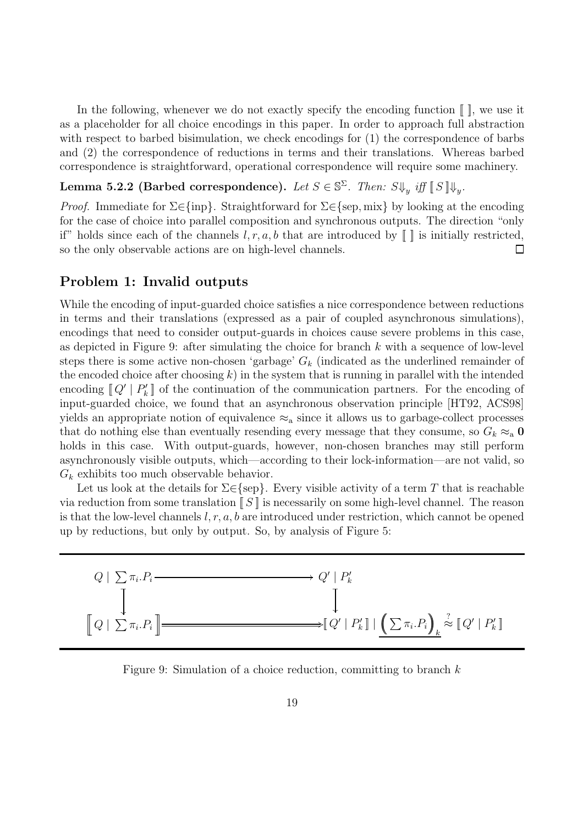In the following, whenever we do not exactly specify the encoding function  $\llbracket \cdot \rrbracket$ , we use it as a placeholder for all choice encodings in this paper. In order to approach full abstraction with respect to barbed bisimulation, we check encodings for (1) the correspondence of barbs and (2) the correspondence of reductions in terms and their translations. Whereas barbed correspondence is straightforward, operational correspondence will require some machinery.

## **Lemma 5.2.2 (Barbed correspondence).** Let  $S \in \mathbb{S}^{\Sigma}$ . Then:  $S \Downarrow_{y}$  iff  $\llbracket S \rrbracket \Downarrow_{y}$ .

*Proof.* Immediate for  $\Sigma \in \{\text{inp}\}\$ . Straightforward for  $\Sigma \in \{\text{sep}, \text{mix}\}\$  by looking at the encoding for the case of choice into parallel composition and synchronous outputs. The direction "only if" holds since each of the channels  $l, r, a, b$  that are introduced by  $\llbracket \cdot \rrbracket$  is initially restricted, so the only observable actions are on high-level channels.  $\Box$ 

## **Problem 1: Invalid outputs**

While the encoding of input-guarded choice satisfies a nice correspondence between reductions in terms and their translations (expressed as a pair of coupled asynchronous simulations), encodings that need to consider output-guards in choices cause severe problems in this case, as depicted in Figure 9: after simulating the choice for branch  $k$  with a sequence of low-level steps there is some active non-chosen 'garbage'  $G_k$  (indicated as the underlined remainder of the encoded choice after choosing  $k$ ) in the system that is running in parallel with the intended encoding  $\llbracket Q' \mid P'_{k} \rrbracket$  of the continuation of the communication partners. For the encoding of input-guarded choice, we found that an asynchronous observation principle [HT92, ACS98] yields an appropriate notion of equivalence  $\approx_a$  since it allows us to garbage-collect processes that do nothing else than eventually resending every message that they consume, so  $G_k \approx_a 0$ holds in this case. With output-guards, however, non-chosen branches may still perform asynchronously visible outputs, which—according to their lock-information—are not valid, so  $G_k$  exhibits too much observable behavior.

Let us look at the details for  $\Sigma \in \{sep\}$ . Every visible activity of a term T that is reachable via reduction from some translation  $\llbracket S \rrbracket$  is necessarily on some high-level channel. The reason is that the low-level channels  $l, r, a, b$  are introduced under restriction, which cannot be opened up by reductions, but only by output. So, by analysis of Figure 5:



Figure 9: Simulation of a choice reduction, committing to branch  $k$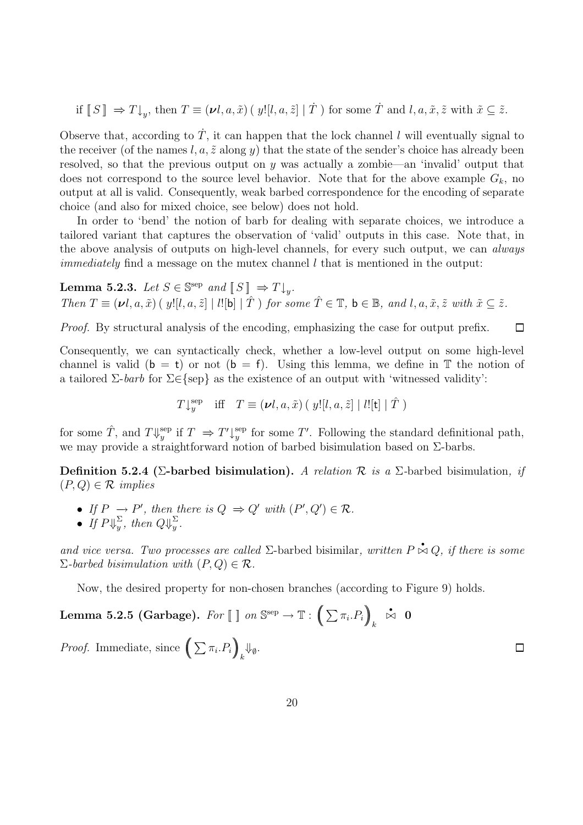if  $[[S]] \Rightarrow T\downarrow_y$ , then  $T \equiv (\nu l, a, \tilde{x}) \, (y![l, a, \tilde{z}] | \dot{T})$  for some  $\dot{T}$  and  $l, a, \tilde{x}, \tilde{z}$  with  $\tilde{x} \subseteq \tilde{z}$ .

Observe that, according to  $\dot{T}$ , it can happen that the lock channel l will eventually signal to the receiver (of the names l, a,  $\tilde{z}$  along y) that the state of the sender's choice has already been resolved, so that the previous output on  $y$  was actually a zombie—an 'invalid' output that does not correspond to the source level behavior. Note that for the above example  $G_k$ , no output at all is valid. Consequently, weak barbed correspondence for the encoding of separate choice (and also for mixed choice, see below) does not hold.

In order to 'bend' the notion of barb for dealing with separate choices, we introduce a tailored variant that captures the observation of 'valid' outputs in this case. Note that, in the above analysis of outputs on high-level channels, for every such output, we can *always immediately* find a message on the mutex channel  $l$  that is mentioned in the output:

**Lemma 5.2.3.** Let  $S \in \mathbb{S}^{\text{sep}}$  and  $\llbracket S \rrbracket \Rightarrow T \downarrow_{v}$ . Then  $T \equiv (\nu l, a, \tilde{x})$  ( y![l, a,  $\tilde{z}$ ] | l![b]  $|\hat{T}\rangle$  for some  $\hat{T} \in \mathbb{T}$ ,  $b \in \mathbb{B}$ , and l, a,  $\tilde{x}$ ,  $\tilde{z}$  with  $\tilde{x} \subseteq \tilde{z}$ .

Proof. By structural analysis of the encoding, emphasizing the case for output prefix.

Consequently, we can syntactically check, whether a low-level output on some high-level channel is valid  $(b = t)$  or not  $(b = f)$ . Using this lemma, we define in T the notion of a tailored  $\Sigma$ -barb for  $\Sigma \in \{sep\}$  as the existence of an output with 'witnessed validity':

 $\Box$ 

 $\Box$ 

$$
T\downarrow^{\text{sep}}_y \quad \text{iff} \quad T \equiv (\nu l, a, \tilde{x}) \left( \ y! [l, a, \tilde{z}] \mid l! [\mathsf{t}] \mid \hat{T} \right)
$$

for some  $\hat{T}$ , and  $T\Downarrow^{\text{sep}}_y$  if  $T \Rightarrow T'\downarrow^{\text{sep}}_y$  for some T'. Following the standard definitional path, we may provide a straightforward notion of barbed bisimulation based on Σ-barbs.

**Definition 5.2.4 (Σ-barbed bisimulation).** A relation R is a Σ-barbed bisimulation, if  $(P,Q) \in \mathcal{R}$  implies

- If  $P \to P'$ , then there is  $Q \Rightarrow Q'$  with  $(P', Q') \in \mathcal{R}$ .
- If  $P\psi_y^{\Sigma}$ , then  $Q\psi_y^{\Sigma}$ .

and vice versa. Two processes are called  $\Sigma$ -barbed bisimilar, written  $P \stackrel{\star}{\triangleright} Q$ , if there is some  $\Sigma$ -barbed bisimulation with  $(P,Q) \in \mathcal{R}$ .

Now, the desired property for non-chosen branches (according to Figure 9) holds.

 $\textbf{Lemma 5.2.5 (Garbage). } \; For \; [\; ] \; \emph{on} \; \mathbb{S}^{\rm sep} \rightarrow \mathbb{T} : \bigg(\sum \pi_i.P_i\bigg)$ k  $\stackrel{\bullet}{\Join} 0$ *Proof.* Immediate, since  $\left(\sum \pi_i P_i\right)$  $\downarrow_k$  $\Downarrow_{\emptyset}$ .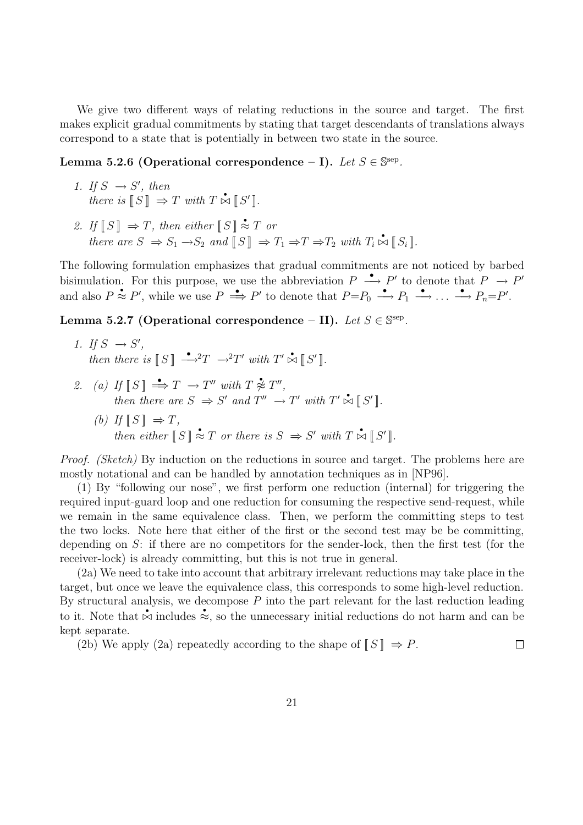We give two different ways of relating reductions in the source and target. The first makes explicit gradual commitments by stating that target descendants of translations always correspond to a state that is potentially in between two state in the source.

**Lemma 5.2.6 (Operational correspondence – I).** Let  $S \in \mathbb{S}^{\text{sep}}$ .

- 1. If  $S \rightarrow S'$ , then there is  $\llbracket S \rrbracket \Rightarrow T$  with  $T \stackrel{\bullet}{\bowtie} \llbracket S' \rrbracket$ .
- 2. If  $\llbracket S \rrbracket \Rightarrow T$ , then either  $\llbracket S \rrbracket \stackrel{\bullet}{\approx} T$  or there are  $S \Rightarrow S_1 \rightarrow S_2$  and  $\llbracket S \rrbracket \Rightarrow T_1 \Rightarrow T \Rightarrow T_2$  with  $T_i \stackrel{\bullet}{\bowtie} \llbracket S_i \rrbracket$ .

The following formulation emphasizes that gradual commitments are not noticed by barbed bisimulation. For this purpose, we use the abbreviation  $P \longrightarrow P'$  to denote that  $P \longrightarrow P'$ and also  $P \stackrel{\bullet}{\approx} P'$ , while we use  $P \stackrel{\bullet}{\implies} P'$  to denote that  $P=P_0 \stackrel{\bullet}{\longrightarrow} P_1 \stackrel{\bullet}{\longrightarrow} \ldots \stackrel{\bullet}{\longrightarrow} P_n=P'.$ 

Lemma 5.2.7 (Operational correspondence – II). Let  $S \in \mathbb{S}^{\text{sep}}$ .

- 1. If  $S \rightarrow S'$ , then there is  $\llbracket S \rrbracket \stackrel{\bullet}{\longrightarrow} T \stackrel{\bullet}{\longrightarrow} T'$  with  $T' \stackrel{\bullet}{\bowtie} \llbracket S' \rrbracket$ .
- 2. (a) If  $\llbracket S \rrbracket \stackrel{\bullet}{\Longrightarrow} T \to T''$  with  $T \not\approx T''$ , then there are  $S \Rightarrow S'$  and  $T'' \rightarrow T'$  with  $T' \stackrel{\bullet}{\bowtie} [S']$ . (b) If  $\llbracket S \rrbracket \Rightarrow T$ , then either  $\llbracket S \rrbracket \stackrel{\bullet}{\approx} T$  or there is  $S \Rightarrow S'$  with  $T \stackrel{\bullet}{\bowtie} \llbracket S' \rrbracket$ .

Proof. (Sketch) By induction on the reductions in source and target. The problems here are mostly notational and can be handled by annotation techniques as in [NP96].

(1) By "following our nose", we first perform one reduction (internal) for triggering the required input-guard loop and one reduction for consuming the respective send-request, while we remain in the same equivalence class. Then, we perform the committing steps to test the two locks. Note here that either of the first or the second test may be be committing, depending on  $S$ : if there are no competitors for the sender-lock, then the first test (for the receiver-lock) is already committing, but this is not true in general.

(2a) We need to take into account that arbitrary irrelevant reductions may take place in the target, but once we leave the equivalence class, this corresponds to some high-level reduction. By structural analysis, we decompose  $P$  into the part relevant for the last reduction leading to it. Note that  $\stackrel{\bullet}{\sim}$  includes  $\stackrel{\bullet}{\approx}$ , so the unnecessary initial reductions do not harm and can be kept separate.

(2b) We apply (2a) repeatedly according to the shape of  $[[S]] \Rightarrow P$ .  $\Box$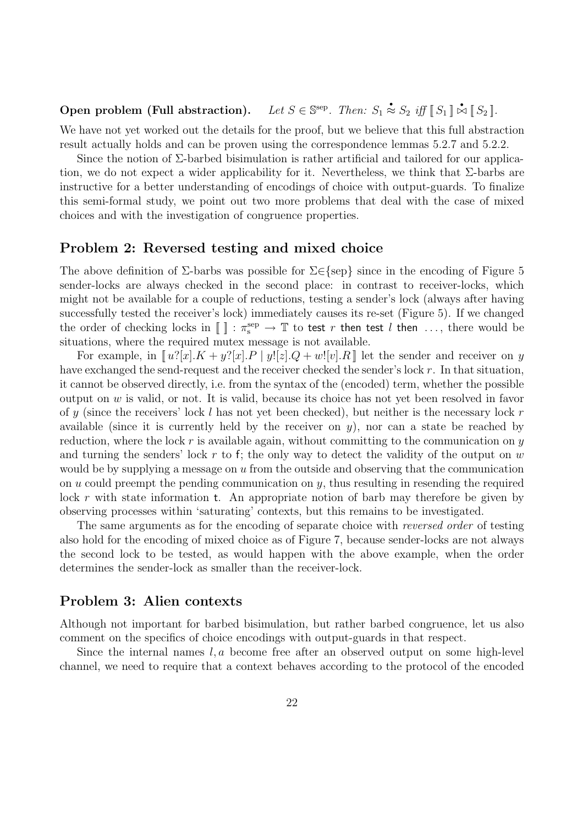#### Open problem (Full abstraction).  $\stackrel{\bullet}{\approx} S_2$  iff  $\llbracket S_1 \rrbracket \stackrel{\bullet}{\bowtie} \llbracket S_2 \rrbracket$ .

We have not yet worked out the details for the proof, but we believe that this full abstraction result actually holds and can be proven using the correspondence lemmas 5.2.7 and 5.2.2.

Since the notion of  $\Sigma$ -barbed bisimulation is rather artificial and tailored for our application, we do not expect a wider applicability for it. Nevertheless, we think that  $\Sigma$ -barbs are instructive for a better understanding of encodings of choice with output-guards. To finalize this semi-formal study, we point out two more problems that deal with the case of mixed choices and with the investigation of congruence properties.

### **Problem 2: Reversed testing and mixed choice**

The above definition of  $\Sigma$ -barbs was possible for  $\Sigma \in \{sep\}$  since in the encoding of Figure 5 sender-locks are always checked in the second place: in contrast to receiver-locks, which might not be available for a couple of reductions, testing a sender's lock (always after having successfully tested the receiver's lock) immediately causes its re-set (Figure 5). If we changed the order of checking locks in  $[\ ] : \pi_s^{\text{sep}} \to \mathbb{T}$  to test r then test l then ..., there would be situations, where the required mutex message is not available.

For example, in  $\llbracket u \cdot x \cdot u \cdot x \cdot u + y \cdot x \cdot u + y \cdot x \cdot u + y \cdot y \cdot x \cdot u + y \cdot y \cdot x \cdot u + y \cdot y \cdot x \cdot u + y \cdot y \cdot x \cdot u + y \cdot y \cdot x \cdot u + y \cdot y \cdot x \cdot u + y \cdot y \cdot x \cdot u + y \cdot y \cdot x \cdot u + y \cdot y \cdot x \cdot u + y \cdot y \cdot x \cdot u + y \cdot y \cdot x \cdot u + y \cdot y \cdot x \cdot u + y \cdot y \cdot x \cdot u + y \cdot y \cdot x \cdot u + y \cdot y \cdot x \cdot u + y \cdot y \$ have exchanged the send-request and the receiver checked the sender's lock r. In that situation, it cannot be observed directly, i.e. from the syntax of the (encoded) term, whether the possible output on  $w$  is valid, or not. It is valid, because its choice has not yet been resolved in favor of y (since the receivers' lock l has not yet been checked), but neither is the necessary lock r available (since it is currently held by the receiver on  $y$ ), nor can a state be reached by reduction, where the lock r is available again, without committing to the communication on  $y$ and turning the senders' lock  $r$  to f; the only way to detect the validity of the output on  $w$ would be by supplying a message on  $u$  from the outside and observing that the communication on  $u$  could preempt the pending communication on  $y$ , thus resulting in resending the required lock r with state information t. An appropriate notion of barb may therefore be given by observing processes within 'saturating' contexts, but this remains to be investigated.

The same arguments as for the encoding of separate choice with *reversed order* of testing also hold for the encoding of mixed choice as of Figure 7, because sender-locks are not always the second lock to be tested, as would happen with the above example, when the order determines the sender-lock as smaller than the receiver-lock.

## **Problem 3: Alien contexts**

Although not important for barbed bisimulation, but rather barbed congruence, let us also comment on the specifics of choice encodings with output-guards in that respect.

Since the internal names  $l, a$  become free after an observed output on some high-level channel, we need to require that a context behaves according to the protocol of the encoded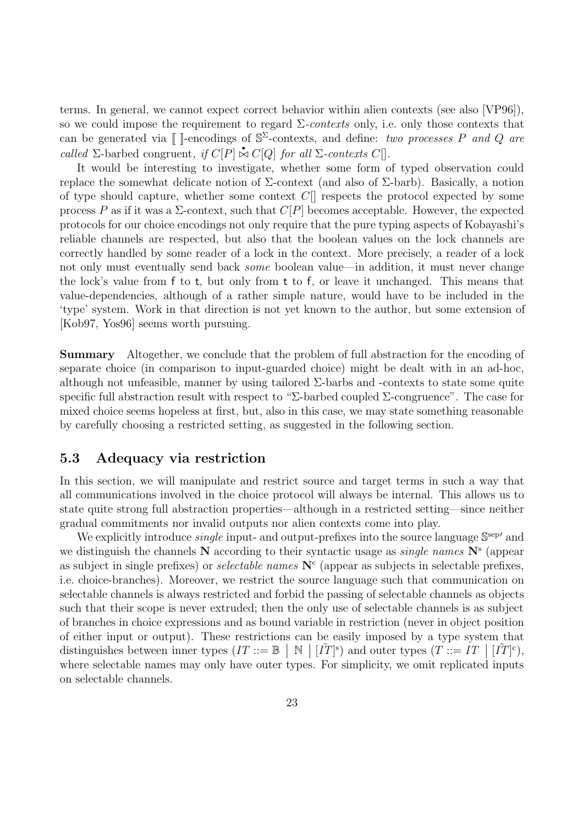terms. In general, we cannot expect correct behavior within alien contexts (see also [VP96]), so we could impose the requirement to regard  $\Sigma$ -contexts only, i.e. only those contexts that can be generated via [[ ]-encodings of  $\mathbb{S}^{\Sigma}$ -contexts, and define: two processes P and Q are called  $\Sigma$ -barbed congruent, if  $C[P] \stackrel{\bullet}{\bowtie} C[Q]$  for all  $\Sigma$ -contexts  $C[]$ .

It would be interesting to investigate, whether some form of typed observation could replace the somewhat delicate notion of Σ-context (and also of Σ-barb). Basically, a notion of type should capture, whether some context  $C[\]$  respects the protocol expected by some process P as if it was a  $\Sigma$ -context, such that  $C[P]$  becomes acceptable. However, the expected protocols for our choice encodings not only require that the pure typing aspects of Kobayashi's reliable channels are respected, but also that the boolean values on the lock channels are correctly handled by some reader of a lock in the context. More precisely, a reader of a lock not only must eventually send back *some* boolean value—in addition, it must never change the lock's value from f to t, but only from t to f, or leave it unchanged. This means that value-dependencies, although of a rather simple nature, would have to be included in the 'type' system. Work in that direction is not yet known to the author, but some extension of [Kob97, Yos96] seems worth pursuing.

**Summary** Altogether, we conclude that the problem of full abstraction for the encoding of separate choice (in comparison to input-guarded choice) might be dealt with in an ad-hoc, although not unfeasible, manner by using tailored  $\Sigma$ -barbs and -contexts to state some quite specific full abstraction result with respect to "Σ-barbed coupled  $\Sigma$ -congruence". The case for mixed choice seems hopeless at first, but, also in this case, we may state something reasonable by carefully choosing a restricted setting, as suggested in the following section.

### **5.3 Adequacy via restriction**

In this section, we will manipulate and restrict source and target terms in such a way that all communications involved in the choice protocol will always be internal. This allows us to state quite strong full abstraction properties—although in a restricted setting—since neither gradual commitments nor invalid outputs nor alien contexts come into play.

We explicitly introduce *single* input- and output-prefixes into the source language  $\mathbb{S}^{\text{sep}}$  and we distinguish the channels **N** according to their syntactic usage as single names **N**<sup>s</sup> (appear as subject in single prefixes) or *selectable names*  $N<sup>c</sup>$  (appear as subjects in selectable prefixes, i.e. choice-branches). Moreover, we restrict the source language such that communication on selectable channels is always restricted and forbid the passing of selectable channels as objects such that their scope is never extruded; then the only use of selectable channels is as subject of branches in choice expressions and as bound variable in restriction (never in object position of either input or output). These restrictions can be easily imposed by a type system that distinguishes between inner types  $(IT ::= \mathbb{B} \mid \mathbb{N} \mid [\tilde{T}]^s)$  and outer types  $(T ::= IT \mid [\tilde{T}]^c)$ , where selectable names may only have outer types. For simplicity, we omit replicated inputs on selectable channels.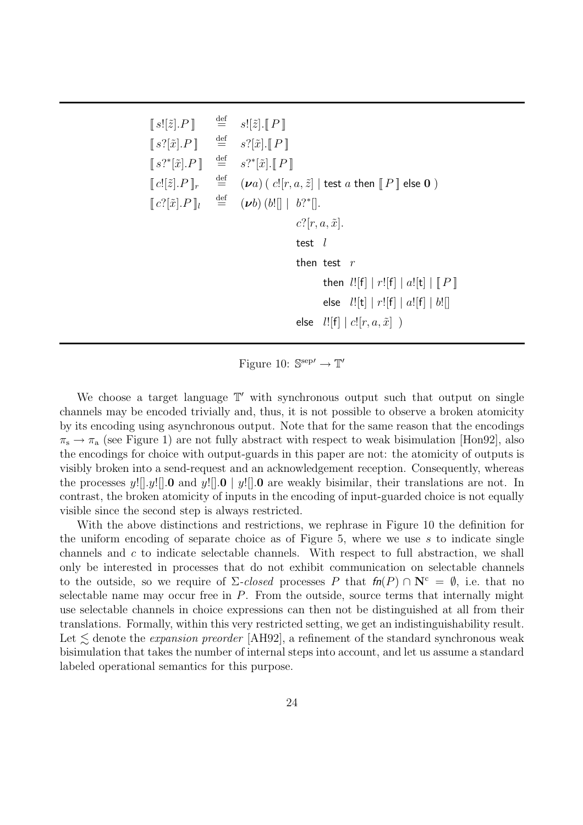| $\llbracket s \rfloor[\tilde{z}].P \rrbracket$                        | $\stackrel{\text{def}}{=}$ | $s![\tilde{z}][T\Gamma]$                                                           |
|-----------------------------------------------------------------------|----------------------------|------------------------------------------------------------------------------------|
| $\llbracket s?[\tilde{x}].P \rrbracket$                               | $\stackrel{\text{def}}{=}$ | $s?[\tilde{x}].[[P]]$                                                              |
| $\llbracket s?^{*}[\tilde{x}].P \rrbracket$                           |                            | $\stackrel{\text{def}}{=} s?^*[\tilde{x}].[[P]]$                                   |
| $\llbracket c! [\tilde{z}].P \rrbracket_r$                            | $\stackrel{\text{def}}{=}$ | $(\nu a)$ ( $c![r, a, \tilde{z}]$   test a then $\llbracket P \rrbracket$ else 0 ) |
| $\llbracket c^?[\tilde{x}].P \rrbracket_l$ $\stackrel{\text{def}}{=}$ |                            | $(\nu b)$ $(b!) \mid b?^* \mid.$                                                   |
|                                                                       |                            | $c$ ?[ $r, a, \tilde{x}$ ].                                                        |
|                                                                       |                            | test $l$                                                                           |
|                                                                       |                            | then test $r$                                                                      |
|                                                                       |                            | then $l![f]   r![f]   a![t]   [P]$                                                 |
|                                                                       |                            | else $l![t]   r![f]   a![f]   b![$                                                 |
|                                                                       |                            | else $l![f]   c![r, a, \tilde{x}]$ )                                               |

Figure 10:  $\mathbb{S}^{\text{sep}\prime} \to \mathbb{T}'$ 

We choose a target language  $\mathbb{T}'$  with synchronous output such that output on single channels may be encoded trivially and, thus, it is not possible to observe a broken atomicity by its encoding using asynchronous output. Note that for the same reason that the encodings  $\pi_{\rm s} \to \pi_{\rm a}$  (see Figure 1) are not fully abstract with respect to weak bisimulation [Hon92], also the encodings for choice with output-guards in this paper are not: the atomicity of outputs is visibly broken into a send-request and an acknowledgement reception. Consequently, whereas the processes y! $[.,y!]$ . **0** and y! $[.,0]$  | y! $[.,0]$  are weakly bisimilar, their translations are not. In contrast, the broken atomicity of inputs in the encoding of input-guarded choice is not equally visible since the second step is always restricted.

With the above distinctions and restrictions, we rephrase in Figure 10 the definition for the uniform encoding of separate choice as of Figure  $5$ , where we use  $s$  to indicate single channels and c to indicate selectable channels. With respect to full abstraction, we shall only be interested in processes that do not exhibit communication on selectable channels to the outside, so we require of  $\Sigma$ -closed processes P that  $fn(P) \cap N^c = \emptyset$ , i.e. that no selectable name may occur free in  $P$ . From the outside, source terms that internally might use selectable channels in choice expressions can then not be distinguished at all from their translations. Formally, within this very restricted setting, we get an indistinguishability result. Let  $\leq$  denote the *expansion preorder* [AH92], a refinement of the standard synchronous weak bisimulation that takes the number of internal steps into account, and let us assume a standard labeled operational semantics for this purpose.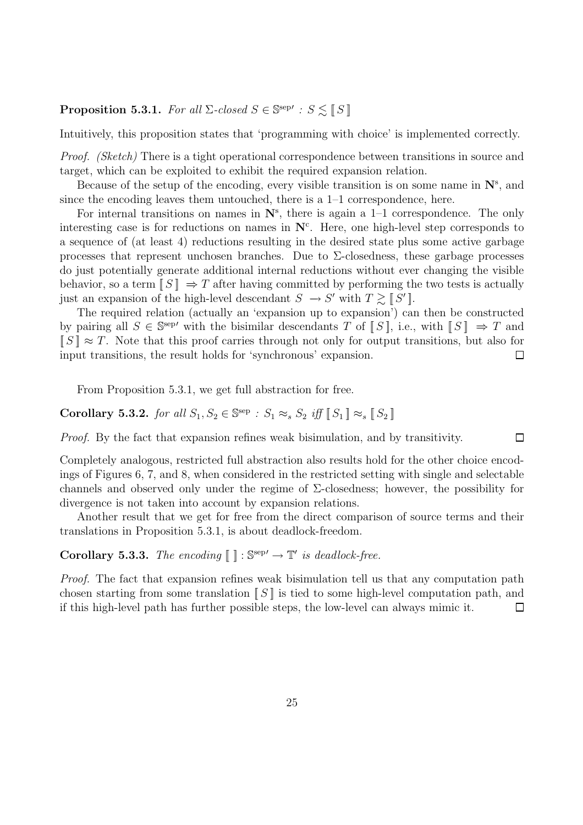## **Proposition 5.3.1.** For all  $\Sigma$ -closed  $S \in \mathbb{S}^{\text{sep'}}$ :  $S \lesssim \llbracket S \rrbracket$

Intuitively, this proposition states that 'programming with choice' is implemented correctly.

Proof. (Sketch) There is a tight operational correspondence between transitions in source and target, which can be exploited to exhibit the required expansion relation.

Because of the setup of the encoding, every visible transition is on some name in **N**<sup>s</sup> , and since the encoding leaves them untouched, there is a  $1-1$  correspondence, here.

For internal transitions on names in  $\mathbf{N}^s$ , there is again a  $1-1$  correspondence. The only interesting case is for reductions on names in  $\mathbb{N}^c$ . Here, one high-level step corresponds to a sequence of (at least 4) reductions resulting in the desired state plus some active garbage processes that represent unchosen branches. Due to  $\Sigma$ -closedness, these garbage processes do just potentially generate additional internal reductions without ever changing the visible behavior, so a term  $[[S]] \Rightarrow T$  after having committed by performing the two tests is actually just an expansion of the high-level descendant  $S \to S'$  with  $T \gtrsim \llbracket S' \rrbracket$ .

The required relation (actually an 'expansion up to expansion') can then be constructed by pairing all  $S \in \mathbb{S}^{\text{sep'}}$  with the bisimilar descendants T of  $\llbracket S \rrbracket$ , i.e., with  $\llbracket S \rrbracket \Rightarrow T$  and  $\llbracket S \rrbracket \approx T$ . Note that this proof carries through not only for output transitions, but also for input transitions, the result holds for 'synchronous' expansion.  $\Box$ 

From Proposition 5.3.1, we get full abstraction for free.

**Corollary 5.3.2.** for all  $S_1, S_2 \in \mathbb{S}^{\text{sep}}$  :  $S_1 \approx_s S_2$  iff  $\llbracket S_1 \rrbracket \approx_s \llbracket S_2 \rrbracket$ 

Proof. By the fact that expansion refines weak bisimulation, and by transitivity.  $\Box$ 

Completely analogous, restricted full abstraction also results hold for the other choice encodings of Figures 6, 7, and 8, when considered in the restricted setting with single and selectable channels and observed only under the regime of  $\Sigma$ -closedness; however, the possibility for divergence is not taken into account by expansion relations.

Another result that we get for free from the direct comparison of source terms and their translations in Proposition 5.3.1, is about deadlock-freedom.

**Corollary 5.3.3.** The encoding  $\llbracket \cdot \rrbracket$  :  $\mathbb{S}^{\text{sep}'} \to \mathbb{T}'$  is deadlock-free.

Proof. The fact that expansion refines weak bisimulation tell us that any computation path chosen starting from some translation  $||S||$  is tied to some high-level computation path, and if this high-level path has further possible steps, the low-level can always mimic it.  $\Box$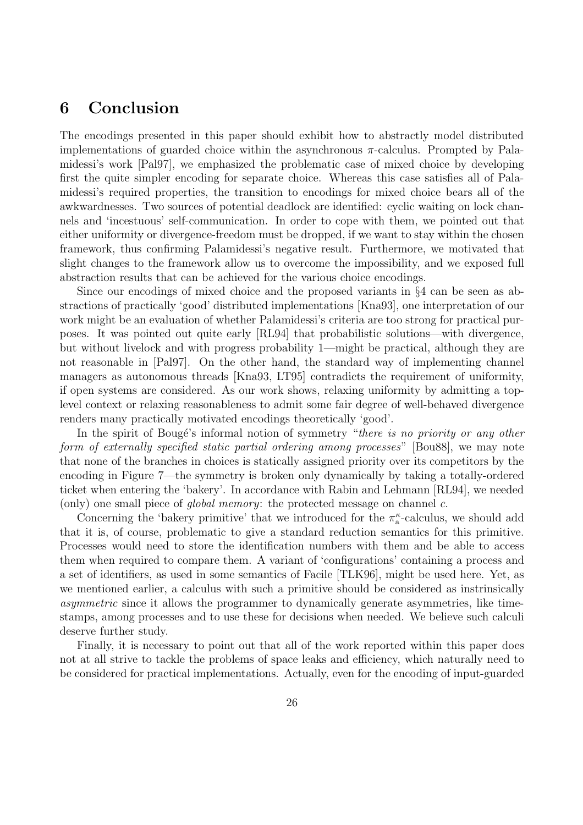## **6 Conclusion**

The encodings presented in this paper should exhibit how to abstractly model distributed implementations of guarded choice within the asynchronous  $\pi$ -calculus. Prompted by Palamidessi's work [Pal97], we emphasized the problematic case of mixed choice by developing first the quite simpler encoding for separate choice. Whereas this case satisfies all of Palamidessi's required properties, the transition to encodings for mixed choice bears all of the awkwardnesses. Two sources of potential deadlock are identified: cyclic waiting on lock channels and 'incestuous' self-communication. In order to cope with them, we pointed out that either uniformity or divergence-freedom must be dropped, if we want to stay within the chosen framework, thus confirming Palamidessi's negative result. Furthermore, we motivated that slight changes to the framework allow us to overcome the impossibility, and we exposed full abstraction results that can be achieved for the various choice encodings.

Since our encodings of mixed choice and the proposed variants in §4 can be seen as abstractions of practically 'good' distributed implementations [Kna93], one interpretation of our work might be an evaluation of whether Palamidessi's criteria are too strong for practical purposes. It was pointed out quite early [RL94] that probabilistic solutions—with divergence, but without livelock and with progress probability 1—might be practical, although they are not reasonable in [Pal97]. On the other hand, the standard way of implementing channel managers as autonomous threads [Kna93, LT95] contradicts the requirement of uniformity, if open systems are considered. As our work shows, relaxing uniformity by admitting a toplevel context or relaxing reasonableness to admit some fair degree of well-behaved divergence renders many practically motivated encodings theoretically 'good'.

In the spirit of Bougé's informal notion of symmetry "there is no priority or any other form of externally specified static partial ordering among processes" [Bou88], we may note that none of the branches in choices is statically assigned priority over its competitors by the encoding in Figure 7—the symmetry is broken only dynamically by taking a totally-ordered ticket when entering the 'bakery'. In accordance with Rabin and Lehmann [RL94], we needed (only) one small piece of *global memory*: the protected message on channel c.

Concerning the 'bakery primitive' that we introduced for the  $\pi_{a}^{\kappa}$ -calculus, we should add that it is, of course, problematic to give a standard reduction semantics for this primitive. Processes would need to store the identification numbers with them and be able to access them when required to compare them. A variant of 'configurations' containing a process and a set of identifiers, as used in some semantics of Facile [TLK96], might be used here. Yet, as we mentioned earlier, a calculus with such a primitive should be considered as instrinsically asymmetric since it allows the programmer to dynamically generate asymmetries, like timestamps, among processes and to use these for decisions when needed. We believe such calculi deserve further study.

Finally, it is necessary to point out that all of the work reported within this paper does not at all strive to tackle the problems of space leaks and efficiency, which naturally need to be considered for practical implementations. Actually, even for the encoding of input-guarded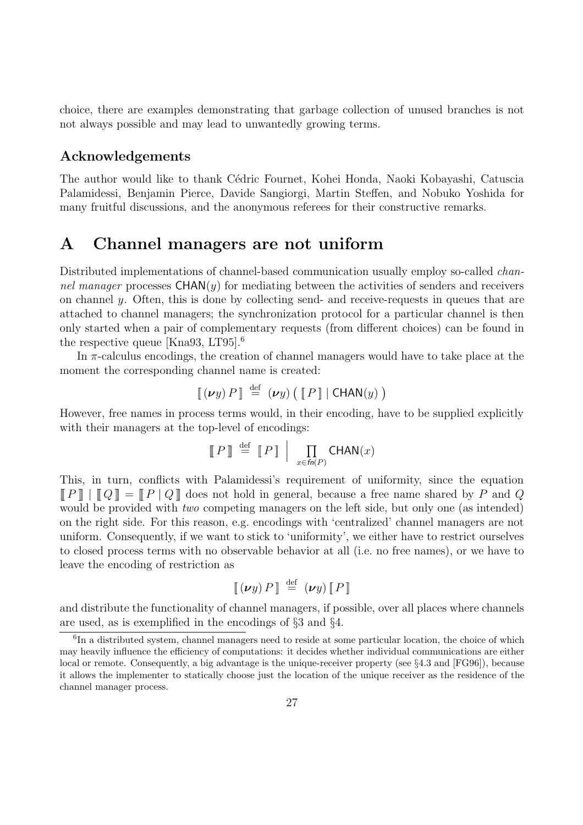choice, there are examples demonstrating that garbage collection of unused branches is not not always possible and may lead to unwantedly growing terms.

## **Acknowledgements**

The author would like to thank Cédric Fournet, Kohei Honda, Naoki Kobayashi, Catuscia Palamidessi, Benjamin Pierce, Davide Sangiorgi, Martin Steffen, and Nobuko Yoshida for many fruitful discussions, and the anonymous referees for their constructive remarks.

## **A Channel managers are not uniform**

Distributed implementations of channel-based communication usually employ so-called *chan*nel manager processes  $CHAN(y)$  for mediating between the activities of senders and receivers on channel y. Often, this is done by collecting send- and receive-requests in queues that are attached to channel managers; the synchronization protocol for a particular channel is then only started when a pair of complementary requests (from different choices) can be found in the respective queue [Kna93, LT95].<sup>6</sup>

In  $\pi$ -calculus encodings, the creation of channel managers would have to take place at the moment the corresponding channel name is created:

$$
[\![ (\nu y) \, P ]\!] \stackrel{\text{def}}{=} (\nu y) \left( [\![ P ]\!] \, | \, \mathsf{CHAN}(y) \, \right)
$$

However, free names in process terms would, in their encoding, have to be supplied explicitly with their managers at the top-level of encodings:

$$
\llbracket P \rrbracket \stackrel{\text{def}}{=} \llbracket P \rrbracket \mid \prod_{x \in \mathit{fn}(P)} \mathsf{CHAN}(x)
$$

This, in turn, conflicts with Palamidessi's requirement of uniformity, since the equation  $\llbracket P \rrbracket \mid \llbracket Q \rrbracket = \llbracket P \mid Q \rrbracket$  does not hold in general, because a free name shared by P and Q would be provided with *two* competing managers on the left side, but only one (as intended) on the right side. For this reason, e.g. encodings with 'centralized' channel managers are not uniform. Consequently, if we want to stick to 'uniformity', we either have to restrict ourselves to closed process terms with no observable behavior at all (i.e. no free names), or we have to leave the encoding of restriction as

$$
\llbracket (\boldsymbol{\nu} y) \, P \rrbracket \stackrel{\text{def}}{=} (\boldsymbol{\nu} y) \, \llbracket P \rrbracket
$$

and distribute the functionality of channel managers, if possible, over all places where channels are used, as is exemplified in the encodings of §3 and §4.

 ${}^{6}$ In a distributed system, channel managers need to reside at some particular location, the choice of which may heavily influence the efficiency of computations: it decides whether individual communications are either local or remote. Consequently, a big advantage is the unique-receiver property (see §4.3 and [FG96]), because it allows the implementer to statically choose just the location of the unique receiver as the residence of the channel manager process.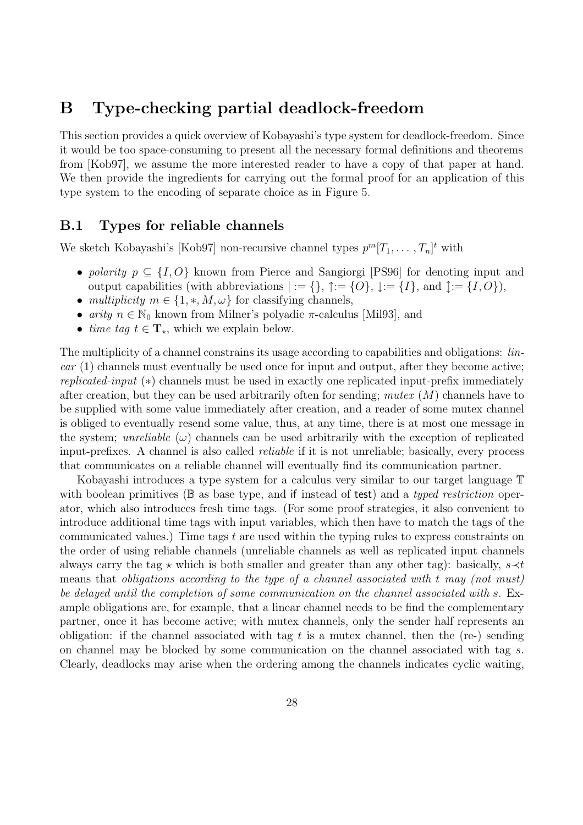## **B Type-checking partial deadlock-freedom**

This section provides a quick overview of Kobayashi's type system for deadlock-freedom. Since it would be too space-consuming to present all the necessary formal definitions and theorems from [Kob97], we assume the more interested reader to have a copy of that paper at hand. We then provide the ingredients for carrying out the formal proof for an application of this type system to the encoding of separate choice as in Figure 5.

## **B.1 Types for reliable channels**

We sketch Kobayashi's [Kob97] non-recursive channel types  $p^m[T_1, \ldots, T_n]^t$  with

- polarity  $p \subseteq \{I, O\}$  known from Pierce and Sangiorgi [PS96] for denoting input and output capabilities (with abbreviations  $| := \{\}, \uparrow := \{O\}, \downarrow := \{I\}, \text{ and } \uparrow := \{I, O\}\)$ ,
- multiplicity  $m \in \{1, \ast, M, \omega\}$  for classifying channels,
- arity  $n \in \mathbb{N}_0$  known from Milner's polyadic  $\pi$ -calculus [Mil93], and
- time tag  $t \in \mathbf{T}_*$ , which we explain below.

The multiplicity of a channel constrains its usage according to capabilities and obligations: *lin*ear (1) channels must eventually be used once for input and output, after they become active; replicated-input (∗) channels must be used in exactly one replicated input-prefix immediately after creation, but they can be used arbitrarily often for sending; muter  $(M)$  channels have to be supplied with some value immediately after creation, and a reader of some mutex channel is obliged to eventually resend some value, thus, at any time, there is at most one message in the system; unreliable  $(\omega)$  channels can be used arbitrarily with the exception of replicated input-prefixes. A channel is also called reliable if it is not unreliable; basically, every process that communicates on a reliable channel will eventually find its communication partner.

Kobayashi introduces a type system for a calculus very similar to our target language T with boolean primitives ( $\mathbb B$  as base type, and if instead of test) and a typed restriction operator, which also introduces fresh time tags. (For some proof strategies, it also convenient to introduce additional time tags with input variables, which then have to match the tags of the communicated values.) Time tags  $t$  are used within the typing rules to express constraints on the order of using reliable channels (unreliable channels as well as replicated input channels always carry the tag  $\star$  which is both smaller and greater than any other tag): basically, s $\prec t$ means that obligations according to the type of a channel associated with t may (not must) be delayed until the completion of some communication on the channel associated with s. Example obligations are, for example, that a linear channel needs to be find the complementary partner, once it has become active; with mutex channels, only the sender half represents an obligation: if the channel associated with tag  $t$  is a mutex channel, then the (re-) sending on channel may be blocked by some communication on the channel associated with tag s. Clearly, deadlocks may arise when the ordering among the channels indicates cyclic waiting,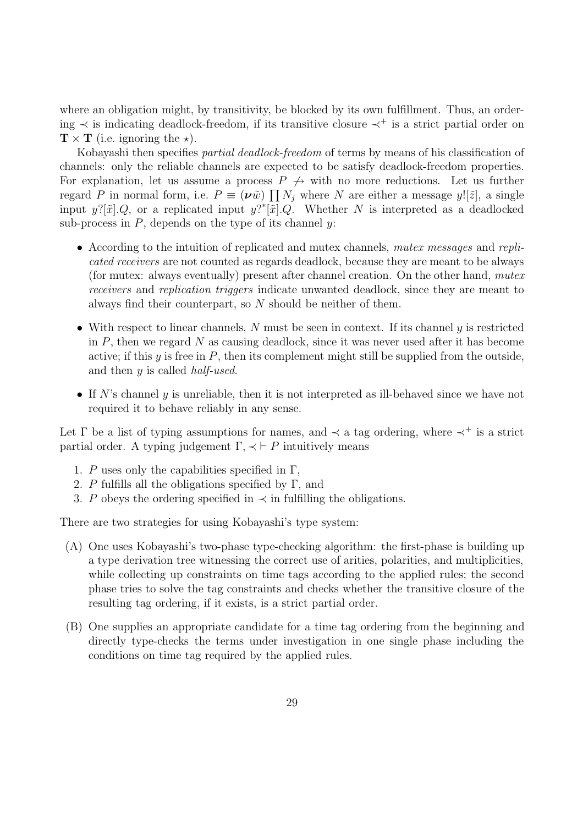where an obligation might, by transitivity, be blocked by its own fulfillment. Thus, an ordering ≺ is indicating deadlock-freedom, if its transitive closure ≺<sup>+</sup> is a strict partial order on  $\mathbf{T} \times \mathbf{T}$  (i.e. ignoring the  $\star$ ).

Kobayashi then specifies partial deadlock-freedom of terms by means of his classification of channels: only the reliable channels are expected to be satisfy deadlock-freedom properties. For explanation, let us assume a process  $P \nightharpoondown \leftrightarrow$  with no more reductions. Let us further regard P in normal form, i.e.  $P \equiv (\nu \tilde{w}) \prod N_j$  where N are either a message y![ $\tilde{z}$ ], a single input  $y$ ?[ $\tilde{x}$ ].Q, or a replicated input  $y$ <sup>2</sup>\*[ $\tilde{x}$ ].Q. Whether N is interpreted as a deadlocked sub-process in  $P$ , depends on the type of its channel  $y$ :

- According to the intuition of replicated and mutex channels, *mutex messages* and replicated receivers are not counted as regards deadlock, because they are meant to be always (for mutex: always eventually) present after channel creation. On the other hand, mutex receivers and replication triggers indicate unwanted deadlock, since they are meant to always find their counterpart, so N should be neither of them.
- With respect to linear channels,  $N$  must be seen in context. If its channel  $y$  is restricted in  $P$ , then we regard  $N$  as causing deadlock, since it was never used after it has become active; if this  $y$  is free in  $P$ , then its complement might still be supplied from the outside, and then  $y$  is called *half-used*.
- If N's channel y is unreliable, then it is not interpreted as ill-behaved since we have not required it to behave reliably in any sense.

Let  $\Gamma$  be a list of typing assumptions for names, and  $\prec$  a tag ordering, where  $\prec^+$  is a strict partial order. A typing judgement  $\Gamma, \prec \vdash P$  intuitively means

- 1. P uses only the capabilities specified in  $\Gamma$ ,
- 2. P fulfills all the obligations specified by  $\Gamma$ , and
- 3. P obeys the ordering specified in  $\prec$  in fulfilling the obligations.

There are two strategies for using Kobayashi's type system:

- (A) One uses Kobayashi's two-phase type-checking algorithm: the first-phase is building up a type derivation tree witnessing the correct use of arities, polarities, and multiplicities, while collecting up constraints on time tags according to the applied rules; the second phase tries to solve the tag constraints and checks whether the transitive closure of the resulting tag ordering, if it exists, is a strict partial order.
- (B) One supplies an appropriate candidate for a time tag ordering from the beginning and directly type-checks the terms under investigation in one single phase including the conditions on time tag required by the applied rules.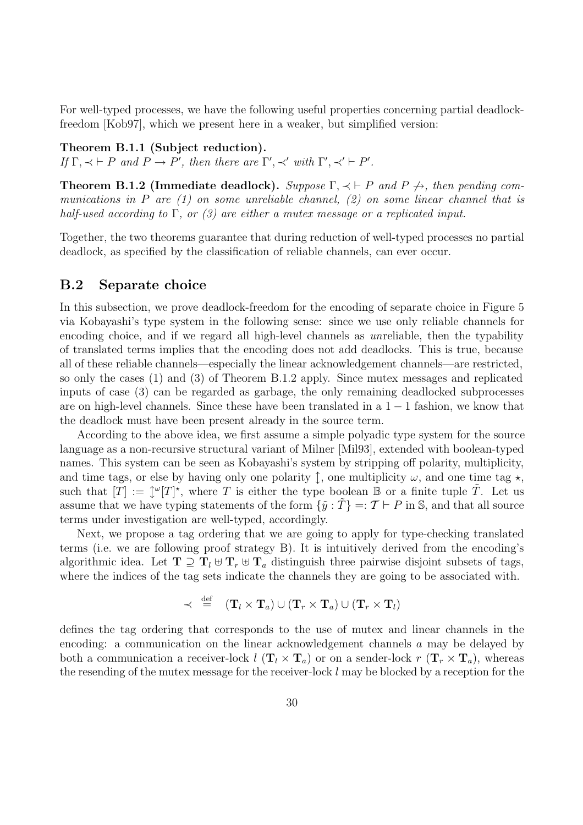For well-typed processes, we have the following useful properties concerning partial deadlockfreedom [Kob97], which we present here in a weaker, but simplified version:

### **Theorem B.1.1 (Subject reduction).**

If  $\Gamma, \prec \vdash P$  and  $P \to P'$ , then there are  $\Gamma', \prec'$  with  $\Gamma', \prec' \vdash P'$ .

**Theorem B.1.2 (Immediate deadlock).** Suppose  $\Gamma$ ,  $\prec \vdash P$  and  $P \not\rightarrow$ , then pending communications in P are  $(1)$  on some unreliable channel,  $(2)$  on some linear channel that is half-used according to  $\Gamma$ , or (3) are either a mutex message or a replicated input.

Together, the two theorems guarantee that during reduction of well-typed processes no partial deadlock, as specified by the classification of reliable channels, can ever occur.

## **B.2 Separate choice**

In this subsection, we prove deadlock-freedom for the encoding of separate choice in Figure 5 via Kobayashi's type system in the following sense: since we use only reliable channels for encoding choice, and if we regard all high-level channels as unreliable, then the typability of translated terms implies that the encoding does not add deadlocks. This is true, because all of these reliable channels—especially the linear acknowledgement channels—are restricted, so only the cases (1) and (3) of Theorem B.1.2 apply. Since mutex messages and replicated inputs of case (3) can be regarded as garbage, the only remaining deadlocked subprocesses are on high-level channels. Since these have been translated in a 1 − 1 fashion, we know that the deadlock must have been present already in the source term.

According to the above idea, we first assume a simple polyadic type system for the source language as a non-recursive structural variant of Milner [Mil93], extended with boolean-typed names. This system can be seen as Kobayashi's system by stripping off polarity, multiplicity, and time tags, or else by having only one polarity  $\uparrow$ , one multiplicity  $\omega$ , and one time tag  $\star$ , such that  $[T] := \int^{\omega} [T]^*$ , where T is either the type boolean B or a finite tuple T. Let us assume that we have typing statements of the form  $\{\tilde{y} : T\} =: \mathcal{T} \vdash P$  in S, and that all source terms under investigation are well-typed, accordingly.

Next, we propose a tag ordering that we are going to apply for type-checking translated terms (i.e. we are following proof strategy B). It is intuitively derived from the encoding's algorithmic idea. Let  $T \supseteq T_l \oplus T_r \oplus T_a$  distinguish three pairwise disjoint subsets of tags, where the indices of the tag sets indicate the channels they are going to be associated with.

$$
\prec \stackrel{\mathrm{def}}{=} (\mathbf{T}_l \times \mathbf{T}_a) \cup (\mathbf{T}_r \times \mathbf{T}_a) \cup (\mathbf{T}_r \times \mathbf{T}_l)
$$

defines the tag ordering that corresponds to the use of mutex and linear channels in the encoding: a communication on the linear acknowledgement channels a may be delayed by both a communication a receiver-lock  $l(\mathbf{T}_l \times \mathbf{T}_a)$  or on a sender-lock  $r(\mathbf{T}_r \times \mathbf{T}_a)$ , whereas the resending of the mutex message for the receiver-lock  $l$  may be blocked by a reception for the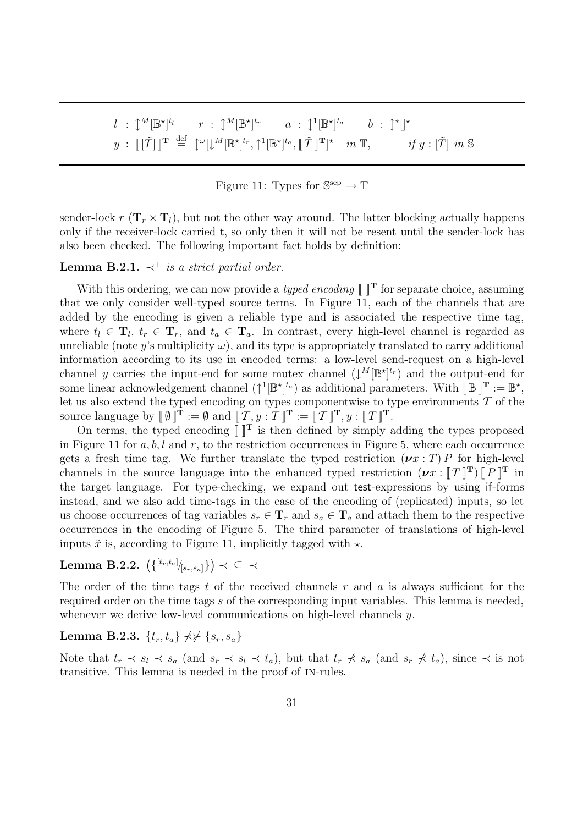$l$  :  $\mathcal{L}^M[\mathbb{B}^\star]^{t_l}$   $r$  :  $\mathcal{L}^M[\mathbb{B}^\star]^{t_r}$   $a$  :  $\mathcal{L}^1[\mathbb{B}^\star]^{t_a}$   $b$  :  $\mathcal{L}^*[\:]^{\star}$  $y : \llbracket [\tilde{T}] \rrbracket^{\mathbf{T}} \stackrel{\text{def}}{=} \downarrow^{\omega}[\downarrow^M[\mathbb{B}^{\star}]^{t_r}, \uparrow^1[\mathbb{B}^{\star}]^{t_a}, \llbracket \tilde{T} \rrbracket^{\mathbf{T}}]^{\star} \quad in \; \mathbb{T}, \qquad \qquad \text{if } y : [\tilde{T}] \; \text{in } \mathbb{S}$ 

### Figure 11: Types for  $\mathbb{S}^{\text{sep}} \to \mathbb{T}$

sender-lock  $r(\mathbf{T}_r \times \mathbf{T}_l)$ , but not the other way around. The latter blocking actually happens only if the receiver-lock carried t, so only then it will not be resent until the sender-lock has also been checked. The following important fact holds by definition:

### **Lemma B.2.1.**  $\prec^+$  is a strict partial order.

With this ordering, we can now provide a *typed encoding*  $\llbracket \cdot \rrbracket^T$  for separate choice, assuming that we only consider well-typed source terms. In Figure 11, each of the channels that are added by the encoding is given a reliable type and is associated the respective time tag, where  $t_l \in \mathbf{T}_l$ ,  $t_r \in \mathbf{T}_r$ , and  $t_a \in \mathbf{T}_a$ . In contrast, every high-level channel is regarded as unreliable (note y's multiplicity  $\omega$ ), and its type is appropriately translated to carry additional information according to its use in encoded terms: a low-level send-request on a high-level channel y carries the input-end for some mutex channel  $(\downarrow^M[\mathbb{B}^{\star}]^{t_r})$  and the output-end for some linear acknowledgement channel  $({\uparrow}^1[\mathbb{B}^{\star}]^{t_a})$  as additional parameters. With  $[\mathbb{B}]\mathbb{T} := \mathbb{B}^{\star}$ , let us also extend the typed encoding on types componentwise to type environments  $\mathcal T$  of the source language by  $[\![\emptyset\,]\!]^{\mathbf{T}} := \emptyset$  and  $[\![\mathcal{T}, y : T]\!]^{\mathbf{T}} := [\![\mathcal{T}]\!]^{\mathbf{T}}, y : [\![T]\!]^{\mathbf{T}}$ .

On terms, the typed encoding  $\llbracket \llbracket^T$  is then defined by simply adding the types proposed in Figure 11 for  $a, b, l$  and  $r$ , to the restriction occurrences in Figure 5, where each occurrence gets a fresh time tag. We further translate the typed restriction  $(\nu x : T) P$  for high-level channels in the source language into the enhanced typed restriction  $(\nu x : [T]^T) [P]^T$  in the target language. For type-checking, we expand out test-expressions by using if-forms instead, and we also add time-tags in the case of the encoding of (replicated) inputs, so let us choose occurrences of tag variables  $s_r \in \mathbf{T}_r$  and  $s_a \in \mathbf{T}_a$  and attach them to the respective occurrences in the encoding of Figure 5. The third parameter of translations of high-level inputs  $\tilde{x}$  is, according to Figure 11, implicitly tagged with  $\star$ .

 $\text{Lemma B.2.2.} \ \left( \{ {}^{[t_r,t_a]}\! \big|_{[s_r,s_a]} \} \right) \prec \ \subseteq \ \prec$ 

The order of the time tags t of the received channels  $r$  and  $a$  is always sufficient for the required order on the time tags s of the corresponding input variables. This lemma is needed, whenever we derive low-level communications on high-level channels  $y$ .

**Lemma B.2.3.**  $\{t_r, t_a\} \nless \nless \{s_r, s_a\}$ 

Note that  $t_r \prec s_l \prec s_a$  (and  $s_r \prec s_l \prec t_a$ ), but that  $t_r \not\prec s_a$  (and  $s_r \not\prec t_a$ ), since  $\prec$  is not transitive. This lemma is needed in the proof of in-rules.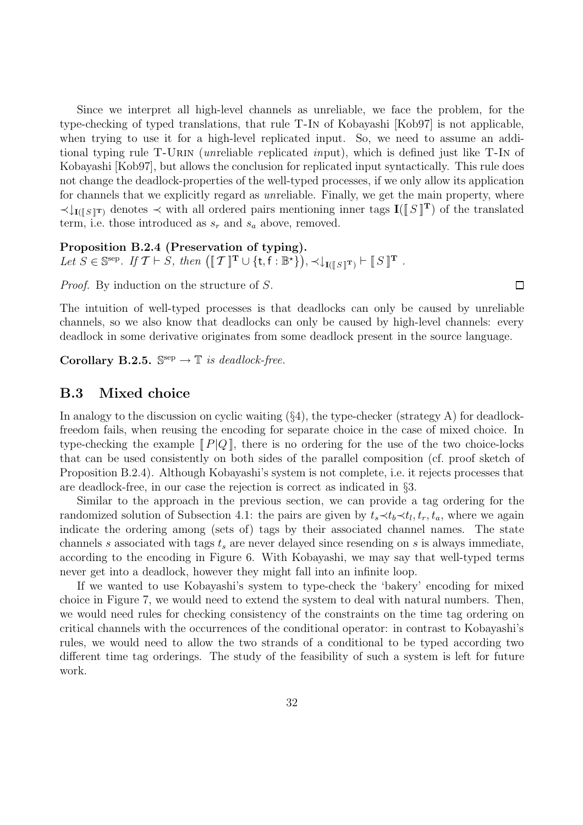Since we interpret all high-level channels as unreliable, we face the problem, for the type-checking of typed translations, that rule T-In of Kobayashi [Kob97] is not applicable, when trying to use it for a high-level replicated input. So, we need to assume an additional typing rule T-URIN (*unreliable replicated input*), which is defined just like T-IN of Kobayashi [Kob97], but allows the conclusion for replicated input syntactically. This rule does not change the deadlock-properties of the well-typed processes, if we only allow its application for channels that we explicitly regard as unreliable. Finally, we get the main property, where  $\prec$ **I**<sub>I([S]T)</sub> denotes  $\prec$  with all ordered pairs mentioning inner tags **I**([S]<sup>T</sup>) of the translated term, i.e. those introduced as  $s_r$  and  $s_a$  above, removed.

**Proposition B.2.4 (Preservation of typing).** Let  $S \in \mathbb{S}^{\text{sep}}$ . If  $\mathcal{T} \vdash S$ , then  $([\![\mathcal{T}]\!]^{\mathbf{T}} \cup {\{\mathsf{t},\mathsf{f}:\mathbb{B}^{\star}\}})$ ,  $\prec \downarrow_{\mathbf{I}([\![S]\!]^{\mathbf{T}}}) \vdash [\![S]\!]^{\mathbf{T}}$ .

Proof. By induction on the structure of S.

The intuition of well-typed processes is that deadlocks can only be caused by unreliable channels, so we also know that deadlocks can only be caused by high-level channels: every deadlock in some derivative originates from some deadlock present in the source language.

**Corollary B.2.5.**  $\mathbb{S}^{\text{sep}} \to \mathbb{T}$  is deadlock-free.

## **B.3 Mixed choice**

In analogy to the discussion on cyclic waiting  $(\S4)$ , the type-checker (strategy A) for deadlockfreedom fails, when reusing the encoding for separate choice in the case of mixed choice. In type-checking the example  $[ P | Q ]$ , there is no ordering for the use of the two choice-locks that can be used consistently on both sides of the parallel composition (cf. proof sketch of Proposition B.2.4). Although Kobayashi's system is not complete, i.e. it rejects processes that are deadlock-free, in our case the rejection is correct as indicated in §3.

Similar to the approach in the previous section, we can provide a tag ordering for the randomized solution of Subsection 4.1: the pairs are given by  $t_s \prec t_b \prec t_l$ ,  $t_r$ ,  $t_a$ , where we again indicate the ordering among (sets of) tags by their associated channel names. The state channels s associated with tags  $t_s$  are never delayed since resending on s is always immediate, according to the encoding in Figure 6. With Kobayashi, we may say that well-typed terms never get into a deadlock, however they might fall into an infinite loop.

If we wanted to use Kobayashi's system to type-check the 'bakery' encoding for mixed choice in Figure 7, we would need to extend the system to deal with natural numbers. Then, we would need rules for checking consistency of the constraints on the time tag ordering on critical channels with the occurrences of the conditional operator: in contrast to Kobayashi's rules, we would need to allow the two strands of a conditional to be typed according two different time tag orderings. The study of the feasibility of such a system is left for future work.

 $\Box$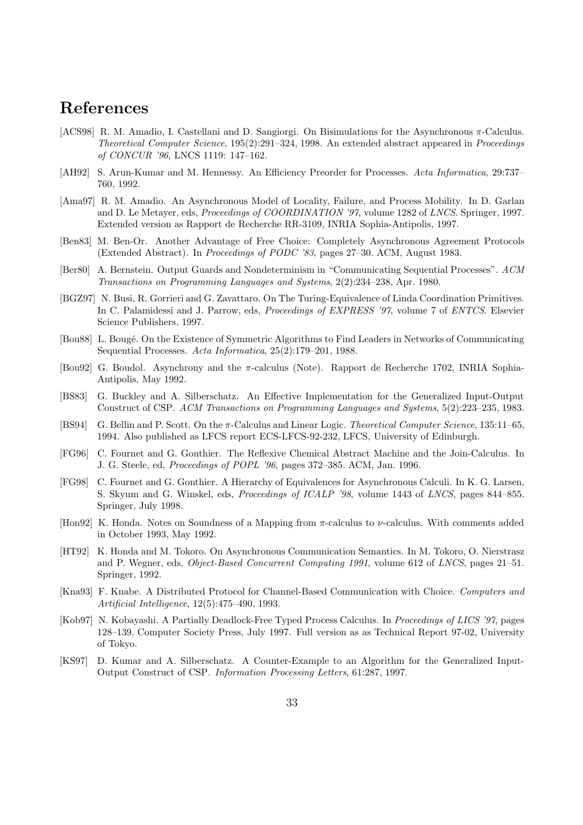## **References**

- [ACS98] R. M. Amadio, I. Castellani and D. Sangiorgi. On Bisimulations for the Asynchronous π-Calculus. *Theoretical Computer Science*, 195(2):291–324, 1998. An extended abstract appeared in *Proceedings of CONCUR '96*, LNCS 1119: 147–162.
- [AH92] S. Arun-Kumar and M. Hennessy. An Efficiency Preorder for Processes. *Acta Informatica*, 29:737– 760, 1992.
- [Ama97] R. M. Amadio. An Asynchronous Model of Locality, Failure, and Process Mobility. In D. Garlan and D. Le Metayer, eds, *Proceedings of COORDINATION '97*, volume 1282 of *LNCS*. Springer, 1997. Extended version as Rapport de Recherche RR-3109, INRIA Sophia-Antipolis, 1997.
- [Ben83] M. Ben-Or. Another Advantage of Free Choice: Completely Asynchronous Agreement Protocols (Extended Abstract). In *Proceedings of PODC '83*, pages 27–30. ACM, August 1983.
- [Ber80] A. Bernstein. Output Guards and Nondeterminism in "Communicating Sequential Processes". *ACM Transactions on Programming Languages and Systems*, 2(2):234–238, Apr. 1980.
- [BGZ97] N. Busi, R. Gorrieri and G. Zavattaro. On The Turing-Equivalence of Linda Coordination Primitives. In C. Palamidessi and J. Parrow, eds, *Proceedings of EXPRESS '97*, volume 7 of *ENTCS*. Elsevier Science Publishers, 1997.
- [Bou88] L. Bougé. On the Existence of Symmetric Algorithms to Find Leaders in Networks of Communicating Sequential Processes. *Acta Informatica*, 25(2):179–201, 1988.
- [Bou92] G. Boudol. Asynchrony and the π-calculus (Note). Rapport de Recherche 1702, INRIA Sophia-Antipolis, May 1992.
- [BS83] G. Buckley and A. Silberschatz. An Effective Implementation for the Generalized Input-Output Construct of CSP. *ACM Transactions on Programming Languages and Systems*, 5(2):223–235, 1983.
- [BS94] G. Bellin and P. Scott. On the π-Calculus and Linear Logic. *Theoretical Computer Science*, 135:11–65, 1994. Also published as LFCS report ECS-LFCS-92-232, LFCS, University of Edinburgh.
- [FG96] C. Fournet and G. Gonthier. The Reflexive Chemical Abstract Machine and the Join-Calculus. In J. G. Steele, ed, *Proceedings of POPL '96*, pages 372–385. ACM, Jan. 1996.
- [FG98] C. Fournet and G. Gonthier. A Hierarchy of Equivalences for Asynchronous Calculi. In K. G. Larsen, S. Skyum and G. Winskel, eds, *Proceedings of ICALP '98*, volume 1443 of *LNCS*, pages 844–855. Springer, July 1998.
- [Hon92] K. Honda. Notes on Soundness of a Mapping from π-calculus to ν-calculus. With comments added in October 1993, May 1992.
- [HT92] K. Honda and M. Tokoro. On Asynchronous Communication Semantics. In M. Tokoro, O. Nierstrasz and P. Wegner, eds, *Object-Based Concurrent Computing 1991*, volume 612 of *LNCS*, pages 21–51. Springer, 1992.
- [Kna93] F. Knabe. A Distributed Protocol for Channel-Based Communication with Choice. *Computers and Artificial Intelligence*, 12(5):475–490, 1993.
- [Kob97] N. Kobayashi. A Partially Deadlock-Free Typed Process Calculus. In *Proceedings of LICS '97*, pages 128–139. Computer Society Press, July 1997. Full version as as Technical Report 97-02, University of Tokyo.
- [KS97] D. Kumar and A. Silberschatz. A Counter-Example to an Algorithm for the Generalized Input-Output Construct of CSP. *Information Processing Letters*, 61:287, 1997.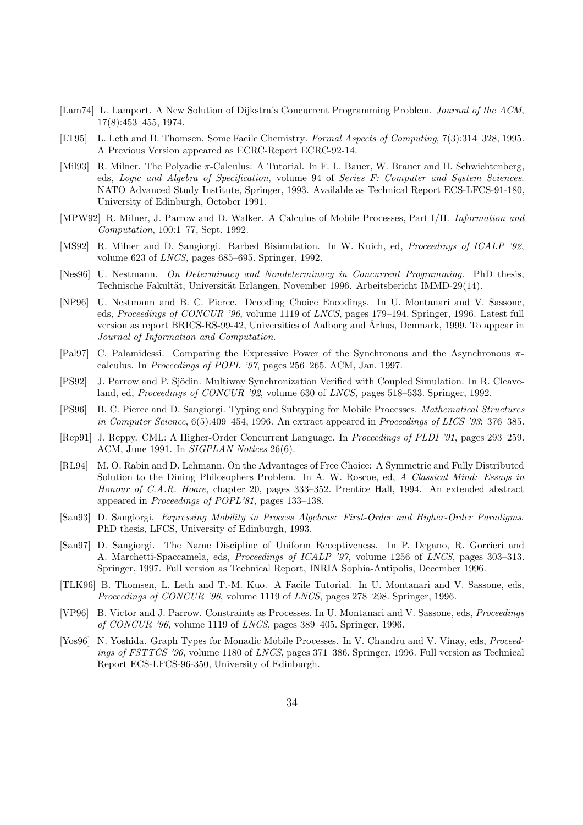- [Lam74] L. Lamport. A New Solution of Dijkstra's Concurrent Programming Problem. *Journal of the ACM*, 17(8):453–455, 1974.
- [LT95] L. Leth and B. Thomsen. Some Facile Chemistry. *Formal Aspects of Computing*, 7(3):314–328, 1995. A Previous Version appeared as ECRC-Report ECRC-92-14.
- [Mil93] R. Milner. The Polyadic π-Calculus: A Tutorial. In F. L. Bauer, W. Brauer and H. Schwichtenberg, eds, *Logic and Algebra of Specification*, volume 94 of *Series F: Computer and System Sciences*. NATO Advanced Study Institute, Springer, 1993. Available as Technical Report ECS-LFCS-91-180, University of Edinburgh, October 1991.
- [MPW92] R. Milner, J. Parrow and D. Walker. A Calculus of Mobile Processes, Part I/II. *Information and Computation*, 100:1–77, Sept. 1992.
- [MS92] R. Milner and D. Sangiorgi. Barbed Bisimulation. In W. Kuich, ed, *Proceedings of ICALP '92*, volume 623 of *LNCS*, pages 685–695. Springer, 1992.
- [Nes96] U. Nestmann. *On Determinacy and Nondeterminacy in Concurrent Programming*. PhD thesis, Technische Fakultät, Universität Erlangen, November 1996. Arbeitsbericht IMMD-29(14).
- [NP96] U. Nestmann and B. C. Pierce. Decoding Choice Encodings. In U. Montanari and V. Sassone, eds, *Proceedings of CONCUR '96*, volume 1119 of *LNCS*, pages 179–194. Springer, 1996. Latest full version as report BRICS-RS-99-42, Universities of Aalborg and Århus, Denmark, 1999. To appear in *Journal of Information and Computation*.
- [Pal97] C. Palamidessi. Comparing the Expressive Power of the Synchronous and the Asynchronous πcalculus. In *Proceedings of POPL '97*, pages 256–265. ACM, Jan. 1997.
- [PS92] J. Parrow and P. Sjödin. Multiway Synchronization Verified with Coupled Simulation. In R. Cleaveland, ed, *Proceedings of CONCUR '92*, volume 630 of *LNCS*, pages 518–533. Springer, 1992.
- [PS96] B. C. Pierce and D. Sangiorgi. Typing and Subtyping for Mobile Processes. *Mathematical Structures in Computer Science*, 6(5):409–454, 1996. An extract appeared in *Proceedings of LICS '93*: 376–385.
- [Rep91] J. Reppy. CML: A Higher-Order Concurrent Language. In *Proceedings of PLDI '91*, pages 293–259. ACM, June 1991. In *SIGPLAN Notices* 26(6).
- [RL94] M. O. Rabin and D. Lehmann. On the Advantages of Free Choice: A Symmetric and Fully Distributed Solution to the Dining Philosophers Problem. In A. W. Roscoe, ed, *A Classical Mind: Essays in Honour of C.A.R. Hoare*, chapter 20, pages 333–352. Prentice Hall, 1994. An extended abstract appeared in *Proceedings of POPL'81*, pages 133–138.
- [San93] D. Sangiorgi. *Expressing Mobility in Process Algebras: First-Order and Higher-Order Paradigms*. PhD thesis, LFCS, University of Edinburgh, 1993.
- [San97] D. Sangiorgi. The Name Discipline of Uniform Receptiveness. In P. Degano, R. Gorrieri and A. Marchetti-Spaccamela, eds, *Proceedings of ICALP '97*, volume 1256 of *LNCS*, pages 303–313. Springer, 1997. Full version as Technical Report, INRIA Sophia-Antipolis, December 1996.
- [TLK96] B. Thomsen, L. Leth and T.-M. Kuo. A Facile Tutorial. In U. Montanari and V. Sassone, eds, *Proceedings of CONCUR '96*, volume 1119 of *LNCS*, pages 278–298. Springer, 1996.
- [VP96] B. Victor and J. Parrow. Constraints as Processes. In U. Montanari and V. Sassone, eds, *Proceedings of CONCUR '96*, volume 1119 of *LNCS*, pages 389–405. Springer, 1996.
- [Yos96] N. Yoshida. Graph Types for Monadic Mobile Processes. In V. Chandru and V. Vinay, eds, *Proceedings of FSTTCS '96*, volume 1180 of *LNCS*, pages 371–386. Springer, 1996. Full version as Technical Report ECS-LFCS-96-350, University of Edinburgh.